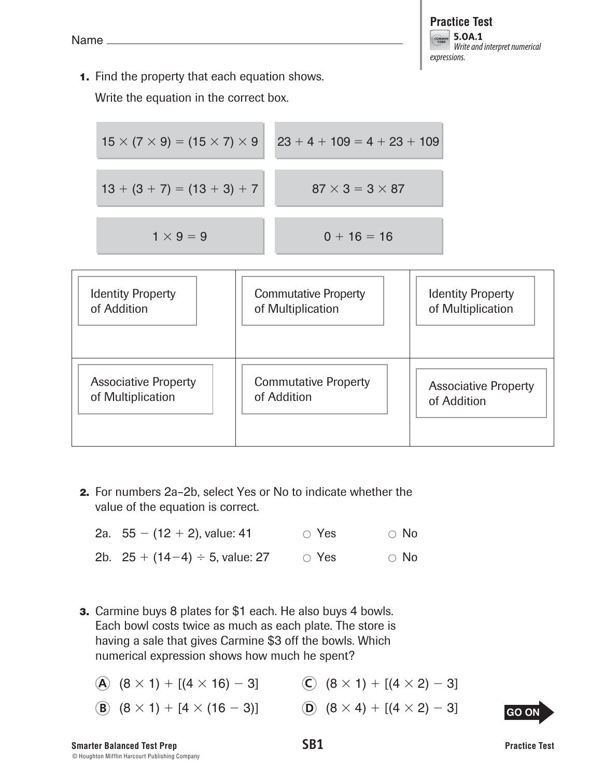**1.** Find the property that each equation shows.

Write the equation in the correct box.

| $15 \times (7 \times 9) = (15 \times 7) \times 9$ | $23 + 4 + 109 = 4 + 23 + 109$ |
|---------------------------------------------------|-------------------------------|
| $13 + (3 + 7) = (13 + 3) + 7$                     | $87 \times 3 = 3 \times 87$   |
| $1 \times 9 = 9$                                  | $0 + 16 = 16$                 |



 **2.** For numbers 2a–2b, select Yes or No to indicate whether the value of the equation is correct.

| 2a. $55 - (12 + 2)$ , value: 41      | $\circ$ Yes | $\circ$ No |
|--------------------------------------|-------------|------------|
| 2b. $25 + (14-4) \div 5$ , value: 27 | $\circ$ Yes | $\circ$ No |

- **3.** Carmine buys 8 plates for \$1 each. He also buys 4 bowls. Each bowl costs twice as much as each plate. The store is having a sale that gives Carmine \$3 off the bowls. Which numerical expression shows how much he spent?
	- **A**  $(8 \times 1) + [(4 \times 16) 3]$  **C**  $(8 \times 1) + [(4 \times 2) 3]$
	- **B**  $(8 \times 1) + [4 \times (16 3)]$  **D**  $(8 \times 4) + [(4 \times 2) 3]$
- -

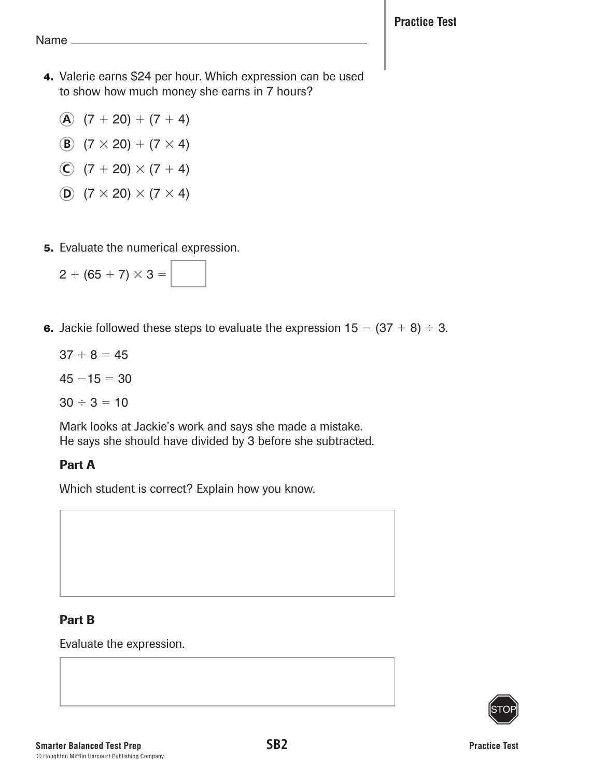- **4.** Valerie earns \$24 per hour. Which expression can be used to show how much money she earns in 7 hours?
	- $\hat{A}$  (7 + 20) + (7 + 4)
	- **B**  $(7 \times 20) + (7 \times 4)$
	- **C**  $(7 + 20) \times (7 + 4)$
	- **D**  $(7 \times 20) \times (7 \times 4)$
- **5.** Evaluate the numerical expression.

| $2 + (65 + 7) \times 3 =$ |  |  |
|---------------------------|--|--|
|---------------------------|--|--|

- **6.** Jackie followed these steps to evaluate the expression  $15 (37 + 8) \div 3$ .
	- $37 + 8 = 45$
	- $45 15 = 30$
	- $30 \div 3 = 10$

Mark looks at Jackie's work and says she made a mistake. He says she should have divided by 3 before she subtracted.

# Part A

Which student is correct? Explain how you know.

# Part B

Evaluate the expression.

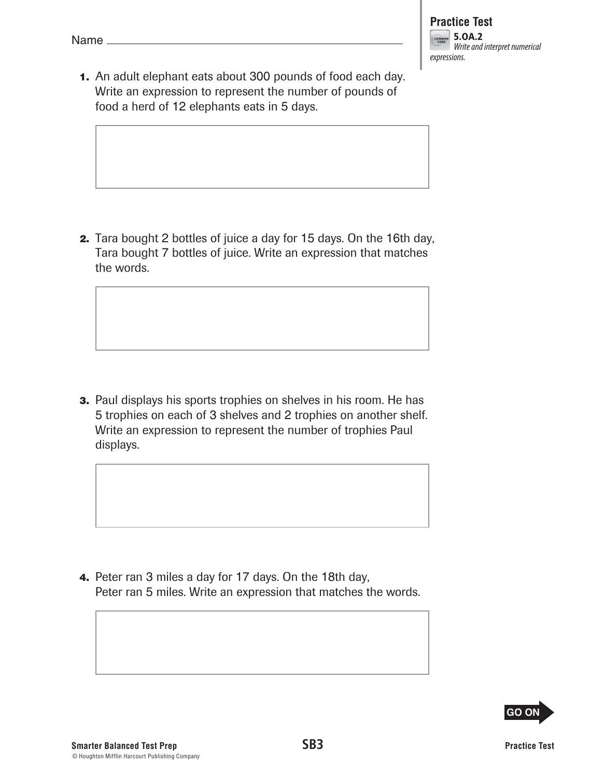**1.** An adult elephant eats about 300 pounds of food each day. Write an expression to represent the number of pounds of food a herd of 12 elephants eats in 5 days.

 **2.** Tara bought 2 bottles of juice a day for 15 days. On the 16th day, Tara bought 7 bottles of juice. Write an expression that matches the words.

**3.** Paul displays his sports trophies on shelves in his room. He has 5 trophies on each of 3 shelves and 2 trophies on another shelf. Write an expression to represent the number of trophies Paul displays.

 **4.** Peter ran 3 miles a day for 17 days. On the 18th day, Peter ran 5 miles. Write an expression that matches the words.

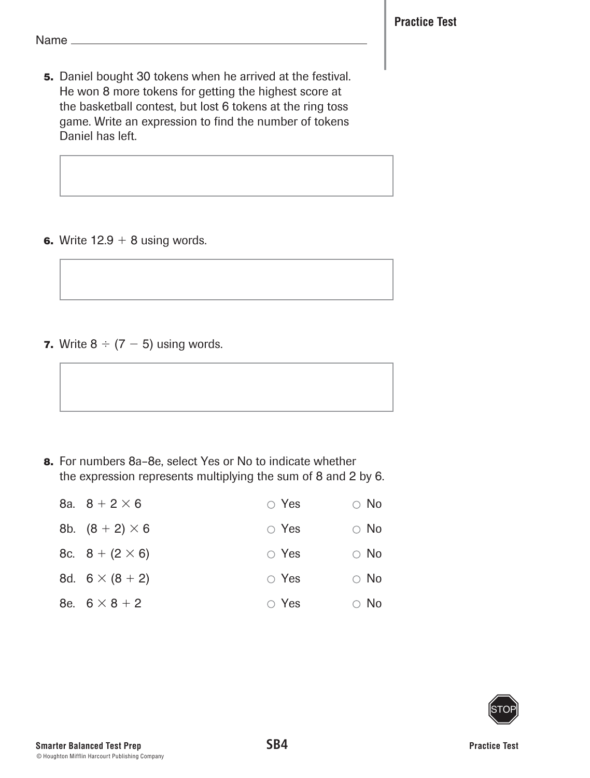Name\_

 **5.** Daniel bought 30 tokens when he arrived at the festival. He won 8 more tokens for getting the highest score at the basketball contest, but lost 6 tokens at the ring toss game. Write an expression to find the number of tokens Daniel has left.

**6.** Write  $12.9 + 8$  using words.

**7.** Write  $8 \div (7 - 5)$  using words.

 **8.** For numbers 8a–8e, select Yes or No to indicate whether the expression represents multiplying the sum of 8 and 2 by 6.

| 8a. $8 + 2 \times 6$   | $\circ$ Yes | $\circ$ No |
|------------------------|-------------|------------|
| 8b. $(8 + 2) \times 6$ | $\circ$ Yes | $\circ$ No |
| 8c. $8 + (2 \times 6)$ | $\circ$ Yes | $\circ$ No |
| 8d. $6 \times (8 + 2)$ | $\circ$ Yes | $\circ$ No |
| 8e. $6 \times 8 + 2$   | $\circ$ Yes | $\circ$ No |

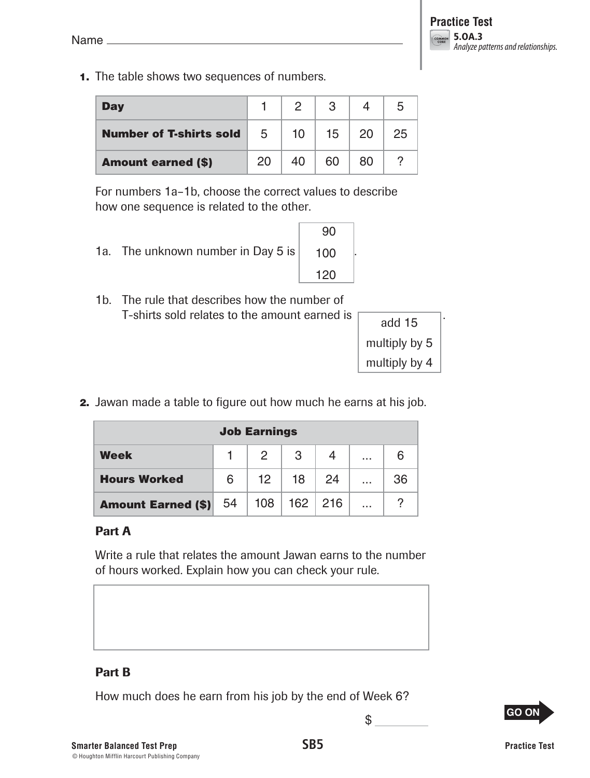**1.** The table shows two sequences of numbers.

| <b>Day</b>                     |    | $\mathcal{P}$ |    |    |    |
|--------------------------------|----|---------------|----|----|----|
| <b>Number of T-shirts sold</b> | 5  | 10            | 15 | 20 | 25 |
| <b>Amount earned (\$)</b>      | 20 |               | 60 | 80 |    |

For numbers 1a–1b, choose the correct values to describe how one sequence is related to the other.

1a. The unknown number in Day 5 is

| $\frac{1}{2}$ $\frac{1}{2}$                   |
|-----------------------------------------------|
| 1b. The rule that describes how the number of |
| T-shirts sold relates to the amount earned is |

90

100  $100$ 

.

| add 15        |
|---------------|
| multiply by 5 |
| multiply by 4 |

 **2.** Jawan made a table to figure out how much he earns at his job.

| <b>Job Earnings</b>          |   |                   |                   |     |          |    |
|------------------------------|---|-------------------|-------------------|-----|----------|----|
| Week                         |   | 2                 | 3                 |     | .        | 6  |
| <b>Hours Worked</b>          | 6 | $12 \overline{ }$ | 18                | -24 | .        | 36 |
| <b>Amount Earned (\$)</b> 54 |   |                   | $108$   162   216 |     | $\cdots$ |    |

## Part A

Write a rule that relates the amount Jawan earns to the number of hours worked. Explain how you can check your rule.

## Part B

How much does he earn from his job by the end of Week 6?



**Smarter Balanced Test Prep SB5** © Houghton Mifflin Harcourt Publishing Company

\$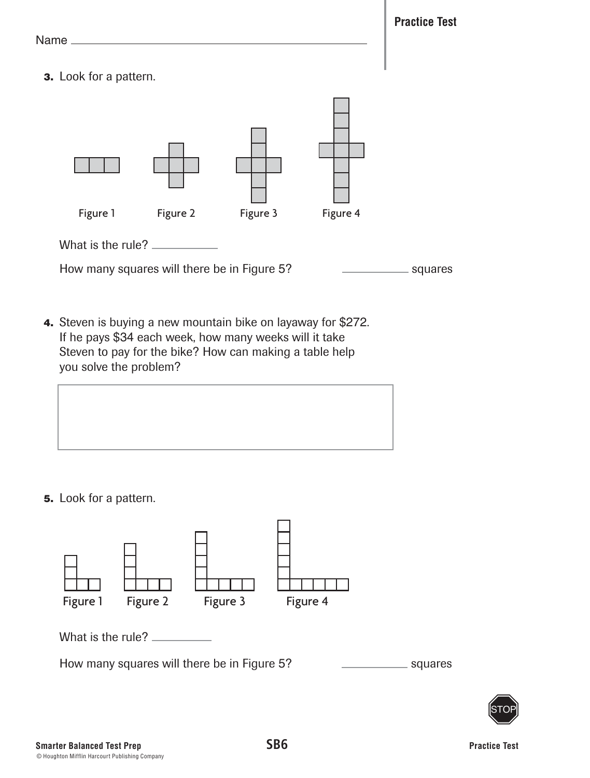**Practice Test**

Name

 **3.** Look for a pattern.



How many squares will there be in Figure 5? Squares squares

 **4.** Steven is buying a new mountain bike on layaway for \$272. If he pays \$34 each week, how many weeks will it take Steven to pay for the bike? How can making a table help you solve the problem?



 **5.** Look for a pattern.



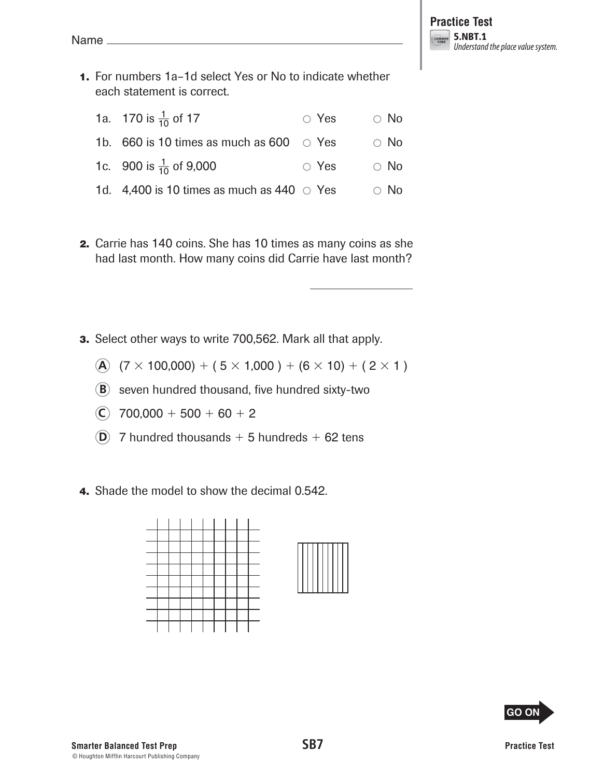**1.** For numbers 1a–1d select Yes or No to indicate whether each statement is correct.

| 1a. 170 is $\frac{1}{10}$ of 17                  | $\circ$ Yes | $\circ$ No |
|--------------------------------------------------|-------------|------------|
| 1b. 660 is 10 times as much as 600 $\circ$ Yes   |             | $\circ$ No |
| 1c. 900 is $\frac{1}{10}$ of 9,000               | $\circ$ Yes | $\circ$ No |
| 1d. 4,400 is 10 times as much as 440 $\circ$ Yes |             | $\circ$ No |

- **2.** Carrie has 140 coins. She has 10 times as many coins as she had last month. How many coins did Carrie have last month?
- **3.** Select other ways to write 700,562. Mark all that apply.
	- **A**  $(7 \times 100,000) + (5 \times 1,000) + (6 \times 10) + (2 \times 1)$
	- **B** seven hundred thousand, five hundred sixty-two
	- $\overline{C}$  700,000 + 500 + 60 + 2
	- $(D)$  7 hundred thousands + 5 hundreds + 62 tens
- **4.** Shade the model to show the decimal 0.542.



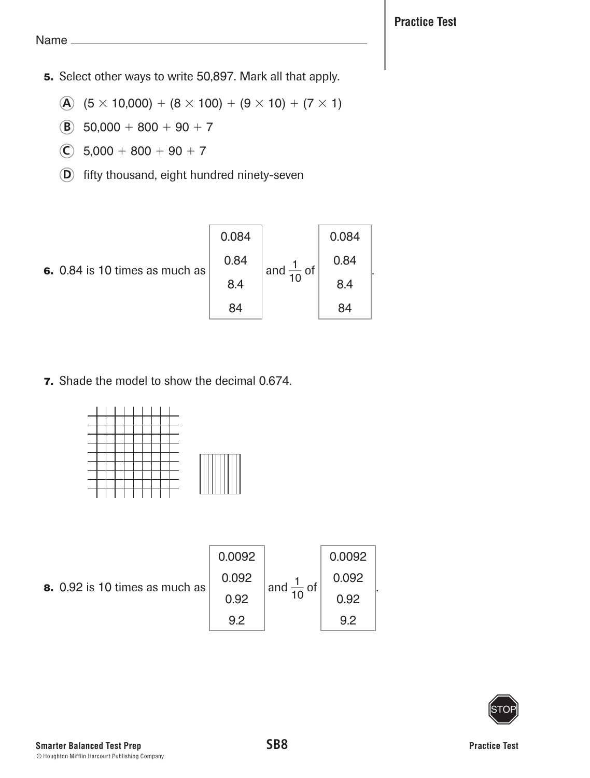- **5.** Select other ways to write 50,897. Mark all that apply.
	- **A**  $(5 \times 10,000) + (8 \times 100) + (9 \times 10) + (7 \times 1)$
	- **B**  $50,000 + 800 + 90 + 7$
	- $\overline{C}$  5,000 + 800 + 90 + 7
	- **D** fifty thousand, eight hundred ninety-seven

 **6.** 0.84 is 10 times as much as 0.084 0.84 8.4 84 and  $\frac{1}{10}$  of 0.084 0.84 8.4 84 .

 **7.** Shade the model to show the decimal 0.674.



| 8. 0.92 is 10 times as much as | 0.0092 |                       | 0.0092 |  |
|--------------------------------|--------|-----------------------|--------|--|
|                                | 0.092  | and $\frac{1}{10}$ of | 0.092  |  |
|                                | 0.92   |                       | 0.92   |  |
|                                | 9 2    |                       | 9 2    |  |

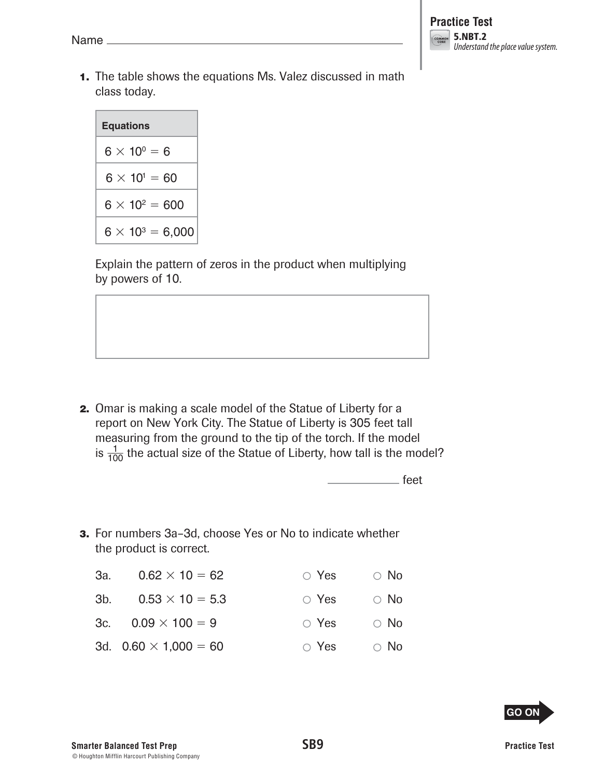**1.** The table shows the equations Ms. Valez discussed in math class today.

| <b>Equations</b> |                        |                         |  |  |
|------------------|------------------------|-------------------------|--|--|
|                  |                        |                         |  |  |
|                  | $6 \times 10^0 = 6$    |                         |  |  |
|                  | $6 \times 10^{1} = 60$ |                         |  |  |
|                  | $6 \times 10^2 = 600$  |                         |  |  |
|                  |                        | $6 \times 10^3 = 6,000$ |  |  |

Explain the pattern of zeros in the product when multiplying by powers of 10.

 **2.** Omar is making a scale model of the Statue of Liberty for a report on New York City. The Statue of Liberty is 305 feet tall measuring from the ground to the tip of the torch. If the model is  $\frac{1}{100}$  the actual size of the Statue of Liberty, how tall is the model?

feet

 **3.** For numbers 3a–3d, choose Yes or No to indicate whether the product is correct.

| За. | $0.62 \times 10 = 62$        | $\circ$ Yes | $\circ$ No |
|-----|------------------------------|-------------|------------|
| 3b. | $0.53 \times 10 = 5.3$       | $\circ$ Yes | $\circ$ No |
|     | 3c. $0.09 \times 100 = 9$    | $\circ$ Yes | $\circ$ No |
|     | 3d. $0.60 \times 1,000 = 60$ | $\circ$ Yes | $\circ$ No |

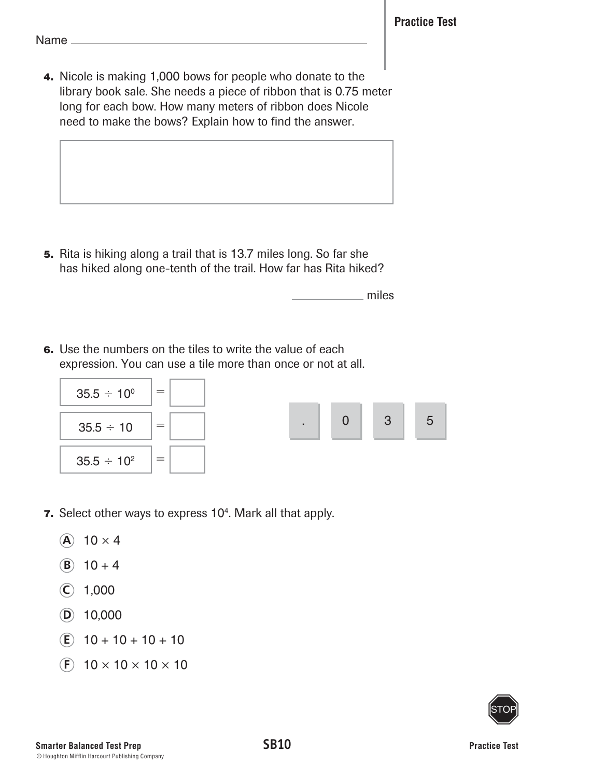**4.** Nicole is making 1,000 bows for people who donate to the library book sale. She needs a piece of ribbon that is 0.75 meter long for each bow. How many meters of ribbon does Nicole need to make the bows? Explain how to find the answer.

 **5.** Rita is hiking along a trail that is 13.7 miles long. So far she has hiked along one-tenth of the trail. How far has Rita hiked?

miles

 **6.** Use the numbers on the tiles to write the value of each expression. You can use a tile more than once or not at all.



- **7.** Select other ways to express 10<sup>4</sup>. Mark all that apply.
	- $\overline{A}$  10  $\times$  4
	- **(B)**  $10 + 4$
	- $(C)$  1,000
	- **D** 10,000
	- $(E)$  10 + 10 + 10 + 10
	- $(F)$  10  $\times$  10  $\times$  10  $\times$  10

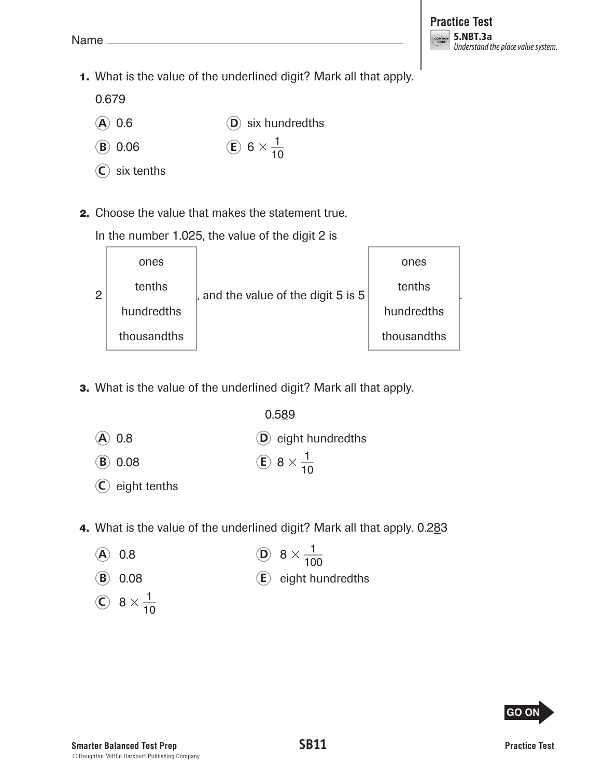**1.** What is the value of the underlined digit? Mark all that apply.

0.679

- **A** 0.6 **D** six hundredths
- **B** 0.06 **E** 6  $\times \frac{1}{10}$ 10
- **C** six tenths
- **2.** Choose the value that makes the statement true.

In the number 1.025, the value of the digit 2 is

| $\overline{2}$ | ones        | , and the value of the digit 5 is 5 | ones        |  |
|----------------|-------------|-------------------------------------|-------------|--|
|                | tenths      |                                     | tenths      |  |
|                | hundredths  |                                     | hundredths  |  |
|                | thousandths |                                     | thousandths |  |

 **3.** What is the value of the underlined digit? Mark all that apply.

0.589 **A** 0.8 **D** eight hundredths **B** 0.08 **E**  $8 \times \frac{1}{10}$ 10

- **C** eight tenths
- **4.** What is the value of the underlined digit? Mark all that apply. 0.283
	- **A** 0.8 **D**  $8 \times \frac{1}{100}$ 100
	- **B** 0.08 **E** eight hundredths
	- $\bigodot$  8  $\times \frac{1}{10}$ 10

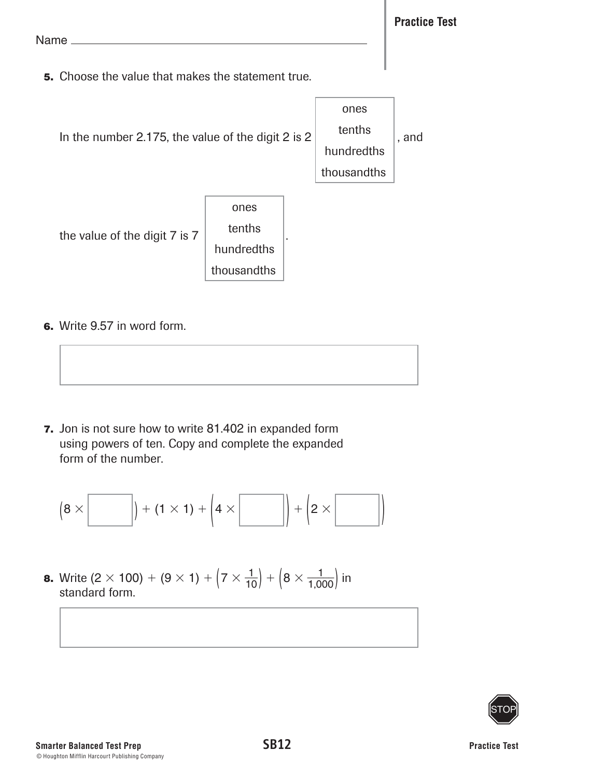**5.** Choose the value that makes the statement true.



 **6.** Write 9.57 in word form.

 **7.** Jon is not sure how to write 81.402 in expanded form using powers of ten. Copy and complete the expanded form of the number.

(8 × ) <sup>+</sup> (1 × 1) <sup>+</sup> ( <sup>4</sup><sup>×</sup> ) <sup>+</sup> ( <sup>2</sup>× )

**8.** Write  $(2 \times 100) + (9 \times 1) + (7 \times \frac{1}{10}) + (8 \times \frac{1}{1,000})$  in standard form.

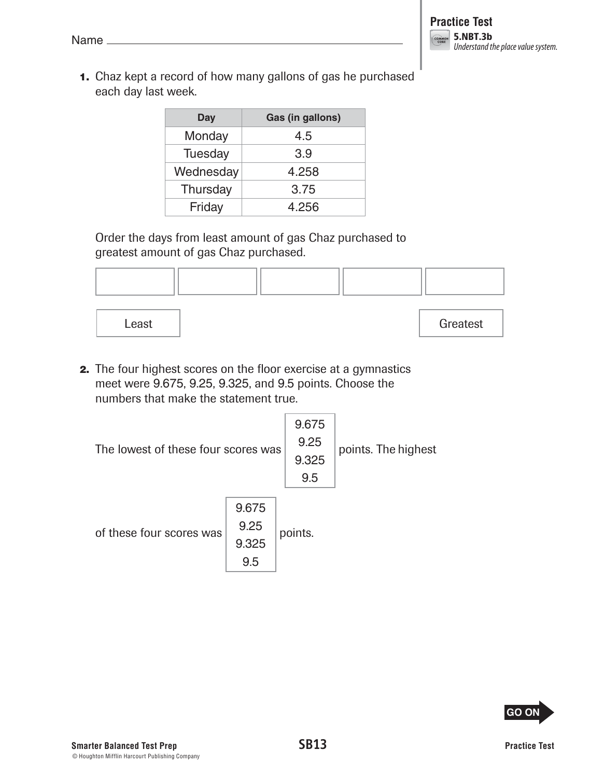**1.** Chaz kept a record of how many gallons of gas he purchased each day last week.

| Day       | Gas (in gallons) |
|-----------|------------------|
| Monday    | 4.5              |
| Tuesday   | 3.9              |
| Wednesday | 4.258            |
| Thursday  | 3.75             |
| Friday    | 4.256            |

Order the days from least amount of gas Chaz purchased to greatest amount of gas Chaz purchased.



Least | Greatest | Greatest

 **2.** The four highest scores on the floor exercise at a gymnastics meet were 9.675, 9.25, 9.325, and 9.5 points. Choose the numbers that make the statement true.

| The lowest of these four scores was |                               | 9.675<br>9.25<br>9.325<br>9.5 | points. The highest |
|-------------------------------------|-------------------------------|-------------------------------|---------------------|
| of these four scores was            | 9.675<br>9.25<br>9.325<br>9.5 | points.                       |                     |

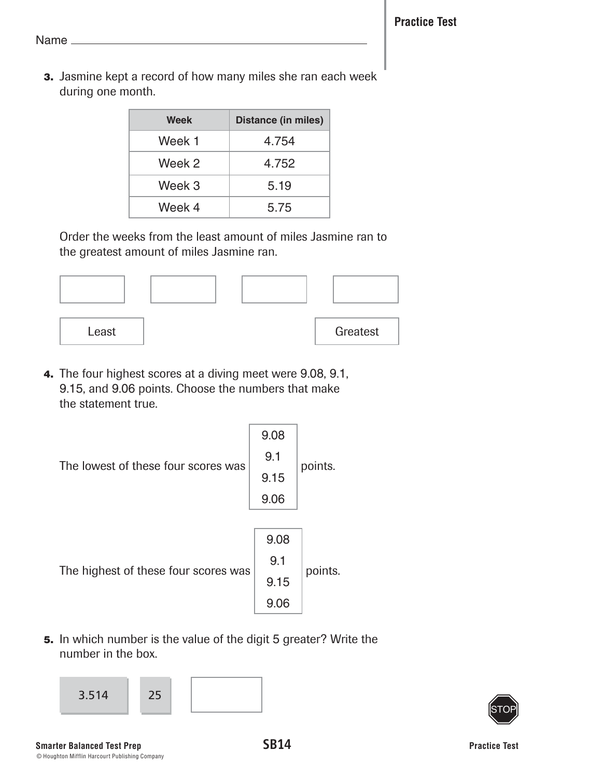**3.** Jasmine kept a record of how many miles she ran each week during one month.

| Week   | <b>Distance (in miles)</b> |
|--------|----------------------------|
| Week 1 | 4.754                      |
| Week 2 | 4.752                      |
| Week 3 | 5.19                       |
| Week 4 | 5.75                       |

Order the weeks from the least amount of miles Jasmine ran to the greatest amount of miles Jasmine ran.



 **4.** The four highest scores at a diving meet were 9.08, 9.1, 9.15, and 9.06 points. Choose the numbers that make the statement true.



 **5.** In which number is the value of the digit 5 greater? Write the number in the box.



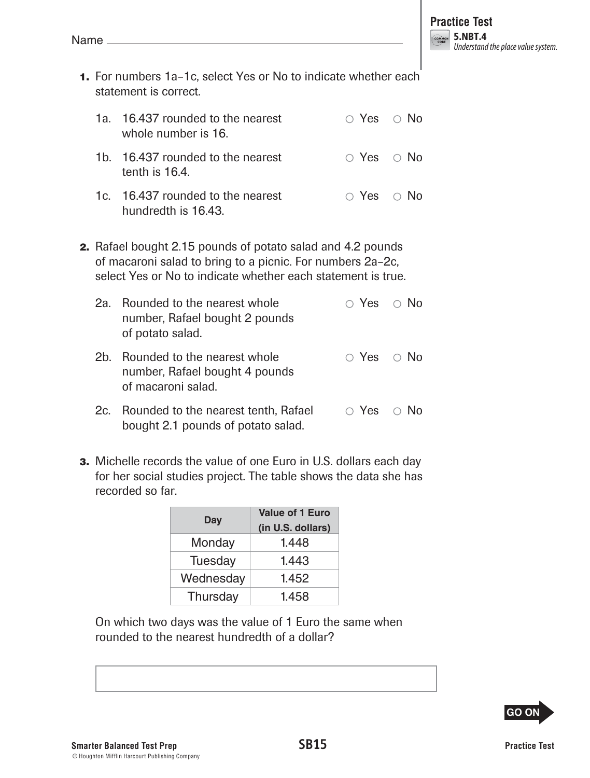- **1.** For numbers 1a–1c, select Yes or No to indicate whether each statement is correct.
	- 1a. 16.437 rounded to the nearest  $\bigcirc$  Yes  $\bigcirc$  No whole number is 16.
	- 1b. 16.437 rounded to the nearest  $\bigcirc$  Yes  $\bigcirc$  No tenth is 16.4.
	- 1c. 16.437 rounded to the nearest  $\overline{O}$  Yes  $\overline{O}$  No hundredth is 16.43.
- **2.** Rafael bought 2.15 pounds of potato salad and 4.2 pounds of macaroni salad to bring to a picnic. For numbers 2a–2c, select Yes or No to indicate whether each statement is true.
	- 2a. Rounded to the nearest whole  $\bigcirc$  Yes  $\bigcirc$  No number, Rafael bought 2 pounds of potato salad. 2b. Rounded to the nearest whole  $\bigcirc$  Yes  $\bigcirc$  No number, Rafael bought 4 pounds
	- of macaroni salad. 2c. Rounded to the nearest tenth, Rafael  $\Box$  Yes  $\Box$  No bought 2.1 pounds of potato salad.
- **3.** Michelle records the value of one Euro in U.S. dollars each day for her social studies project. The table shows the data she has recorded so far.

| Day       | <b>Value of 1 Euro</b><br>(in U.S. dollars) |
|-----------|---------------------------------------------|
| Monday    | 1.448                                       |
| Tuesday   | 1.443                                       |
| Wednesday | 1.452                                       |
| Thursday  | 1.458                                       |

On which two days was the value of 1 Euro the same when rounded to the nearest hundredth of a dollar?



I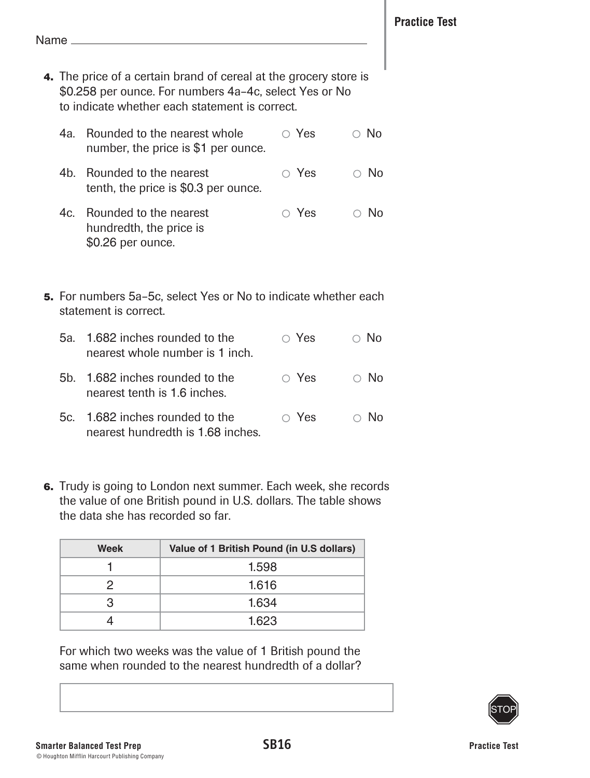- **4.** The price of a certain brand of cereal at the grocery store is \$0.258 per ounce. For numbers 4a–4c, select Yes or No to indicate whether each statement is correct.
	- 4a. Rounded to the nearest whole  $\bigcirc$  Yes  $\bigcirc$  No number, the price is \$1 per ounce.
	- 4b. Rounded to the nearest  $\overline{O}$  Yes  $\overline{O}$  No tenth, the price is \$0.3 per ounce.
	- 4c. Rounded to the nearest  $\overline{Q}$  Yes  $\overline{Q}$  No hundredth, the price is \$0.26 per ounce.
- **5.** For numbers 5a–5c, select Yes or No to indicate whether each statement is correct.
	- 5a. 1.682 inches rounded to the  $\overline{O}$  Yes  $\overline{O}$  No nearest whole number is 1 inch. 5b. 1.682 inches rounded to the  $\bigcirc$  Yes  $\bigcirc$  No
	- nearest tenth is 1.6 inches.
	- 5c. 1.682 inches rounded to the  $\bigcirc$  Yes  $\bigcirc$  No nearest hundredth is 1.68 inches.
- **6.** Trudy is going to London next summer. Each week, she records the value of one British pound in U.S. dollars. The table shows the data she has recorded so far.

| Week | Value of 1 British Pound (in U.S dollars) |
|------|-------------------------------------------|
|      | 1.598                                     |
| 2    | 1.616                                     |
| з    | 1.634                                     |
|      | 1.623                                     |

For which two weeks was the value of 1 British pound the same when rounded to the nearest hundredth of a dollar?

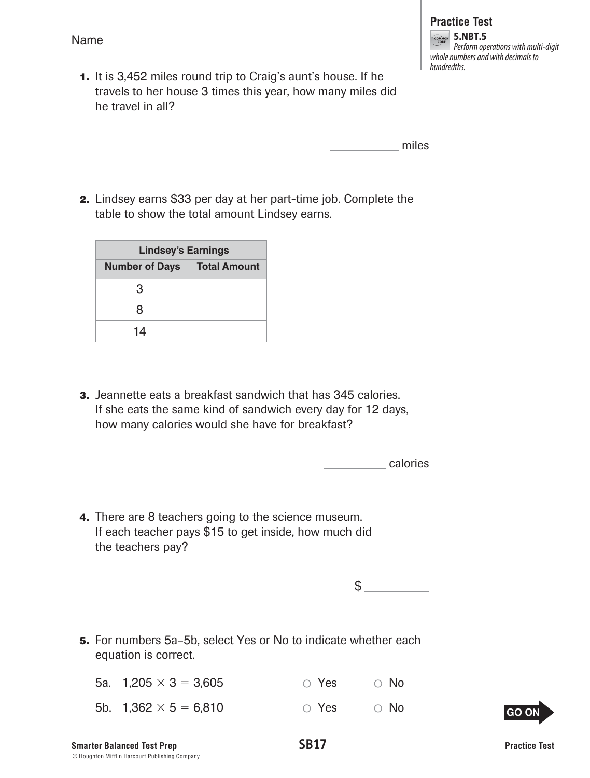- **Practice Test** 5.NBT.5 Perform operations with multi-digit whole numbers and with decimals to hundredths.
- **1.** It is 3,452 miles round trip to Craig's aunt's house. If he travels to her house 3 times this year, how many miles did he travel in all?

miles

 **2.** Lindsey earns \$33 per day at her part-time job. Complete the table to show the total amount Lindsey earns.

| <b>Lindsey's Earnings</b> |                     |  |
|---------------------------|---------------------|--|
| <b>Number of Days</b>     | <b>Total Amount</b> |  |
| 3                         |                     |  |
| 8                         |                     |  |
| 14                        |                     |  |

 **3.** Jeannette eats a breakfast sandwich that has 345 calories. If she eats the same kind of sandwich every day for 12 days, how many calories would she have for breakfast?

calories

 **4.** There are 8 teachers going to the science museum. If each teacher pays \$15 to get inside, how much did the teachers pay?

 $$$ 

 **5.** For numbers 5a–5b, select Yes or No to indicate whether each equation is correct.

| 5a. $1,205 \times 3 = 3,605$ | $\circ$ Yes | $\circ$ No |
|------------------------------|-------------|------------|
| 5b. $1,362 \times 5 = 6,810$ | ○ Yes       | $\circ$ No |

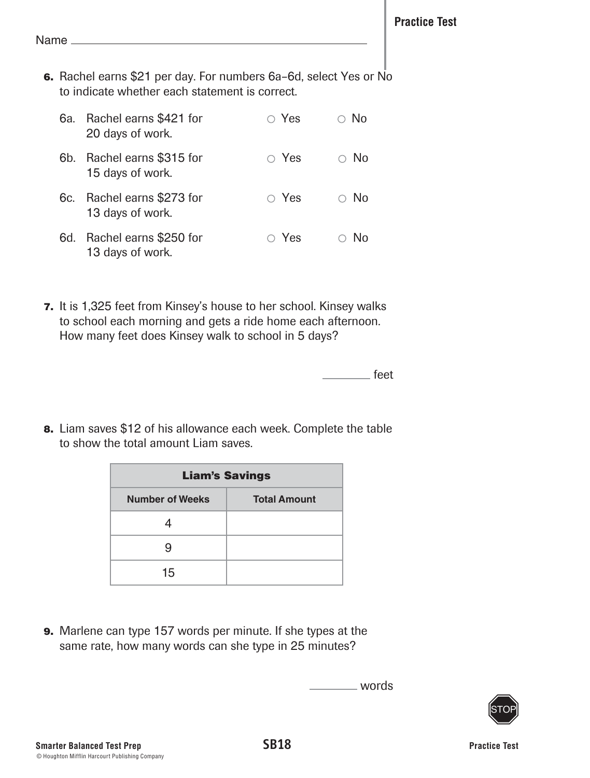Name<sub>-</sub>

 **6.** Rachel earns \$21 per day. For numbers 6a–6d, select Yes or No to indicate whether each statement is correct.

| 6a. | Rachel earns \$421 for<br>20 days of work.     | $\circ$ Yes | ∋ No       |
|-----|------------------------------------------------|-------------|------------|
|     | 6b. Rachel earns \$315 for<br>15 days of work. | $\circ$ Yes | $\circ$ No |
|     | 6c. Rachel earns \$273 for<br>13 days of work. | $\circ$ Yes | $\circ$ No |
| 6d. | Rachel earns \$250 for<br>13 days of work.     | $\circ$ Yes | No         |

 **7.** It is 1,325 feet from Kinsey's house to her school. Kinsey walks to school each morning and gets a ride home each afternoon. How many feet does Kinsey walk to school in 5 days?

<u>saase</u> feet

 **8.** Liam saves \$12 of his allowance each week. Complete the table to show the total amount Liam saves.

| <b>Liam's Savings</b>  |                     |  |
|------------------------|---------------------|--|
| <b>Number of Weeks</b> | <b>Total Amount</b> |  |
|                        |                     |  |
|                        |                     |  |
| 15                     |                     |  |

 **9.** Marlene can type 157 words per minute. If she types at the same rate, how many words can she type in 25 minutes?

words

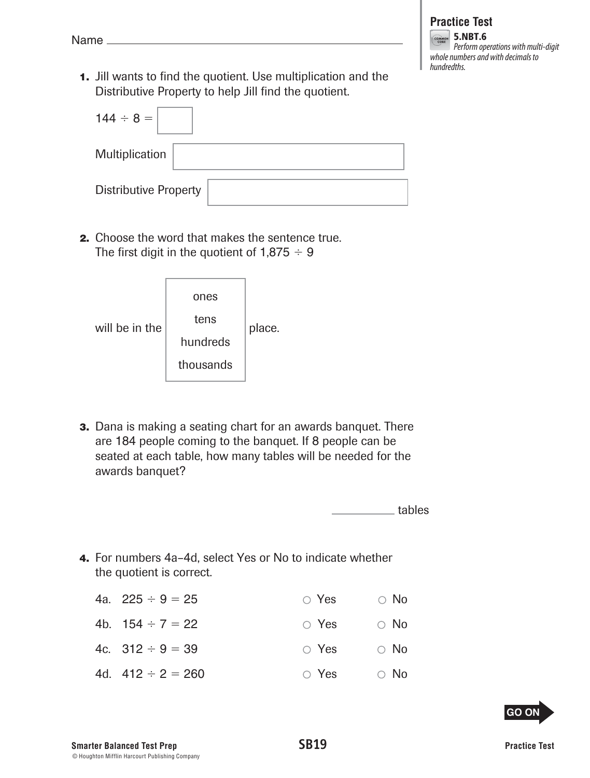**1.** Jill wants to find the quotient. Use multiplication and the Distributive Property to help Jill find the quotient.

| $144 \div 8 =$               |
|------------------------------|
| Multiplication               |
| <b>Distributive Property</b> |

 **2.** Choose the word that makes the sentence true. The first digit in the quotient of  $1,875 \div 9$ 

| will be in the | ones<br>tens<br>hundreds<br>thousands | place. |
|----------------|---------------------------------------|--------|
|                |                                       |        |

 **3.** Dana is making a seating chart for an awards banquet. There are 184 people coming to the banquet. If 8 people can be seated at each table, how many tables will be needed for the awards banquet?

tables

 **4.** For numbers 4a–4d, select Yes or No to indicate whether the quotient is correct.

| 4a. $225 \div 9 = 25$  | $\circ$ Yes | $\circ$ No |
|------------------------|-------------|------------|
| 4b. $154 \div 7 = 22$  | $\circ$ Yes | $\circ$ No |
| 4c. $312 \div 9 = 39$  | $\circ$ Yes | $\circ$ No |
| 4d. $412 \div 2 = 260$ | $\circ$ Yes | $\circ$ No |
|                        |             |            |

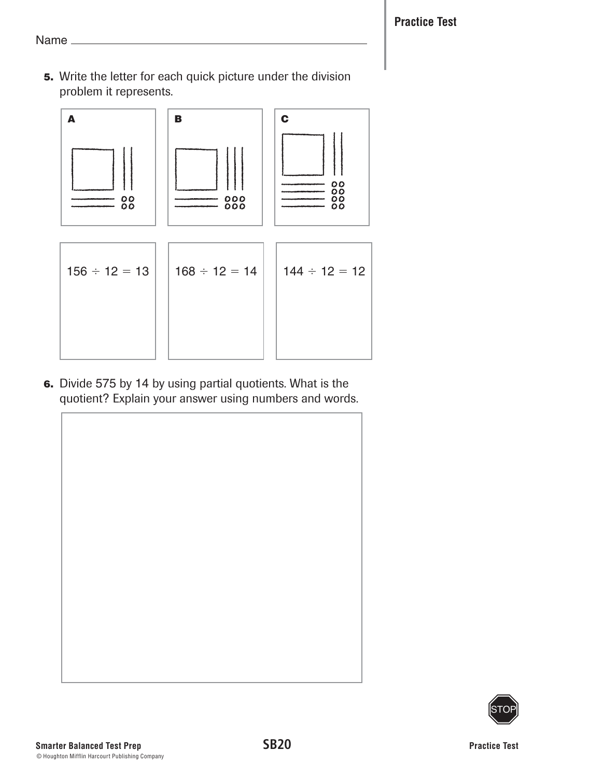Name<sub>-</sub>

 **5.** Write the letter for each quick picture under the division problem it represents.



 **6.** Divide 575 by 14 by using partial quotients. What is the quotient? Explain your answer using numbers and words.

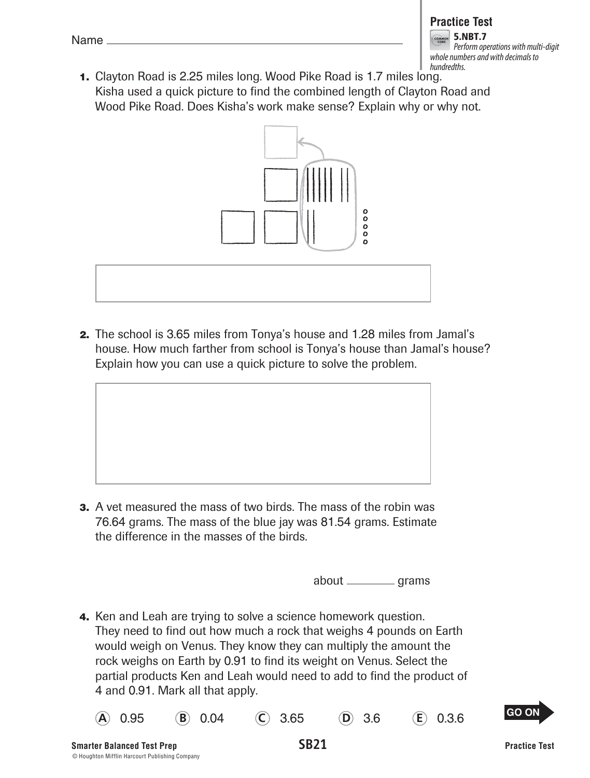| - | ı<br>ı. |  |
|---|---------|--|
|   |         |  |

#### **Practice Test**

5.NBT.7 Perform operations with multi-digit whole numbers and with decimals to hundredths.

 **1.** Clayton Road is 2.25 miles long. Wood Pike Road is 1.7 miles long. Kisha used a quick picture to find the combined length of Clayton Road and Wood Pike Road. Does Kisha's work make sense? Explain why or why not.



 **2.** The school is 3.65 miles from Tonya's house and 1.28 miles from Jamal's house. How much farther from school is Tonya's house than Jamal's house? Explain how you can use a quick picture to solve the problem.

**3.** A vet measured the mass of two birds. The mass of the robin was 76.64 grams. The mass of the blue jay was 81.54 grams. Estimate the difference in the masses of the birds.

about \_\_\_\_\_\_\_\_\_\_ grams

 **4.** Ken and Leah are trying to solve a science homework question. They need to find out how much a rock that weighs 4 pounds on Earth would weigh on Venus. They know they can multiply the amount the rock weighs on Earth by 0.91 to find its weight on Venus. Select the partial products Ken and Leah would need to add to find the product of 4 and 0.91. Mark all that apply.

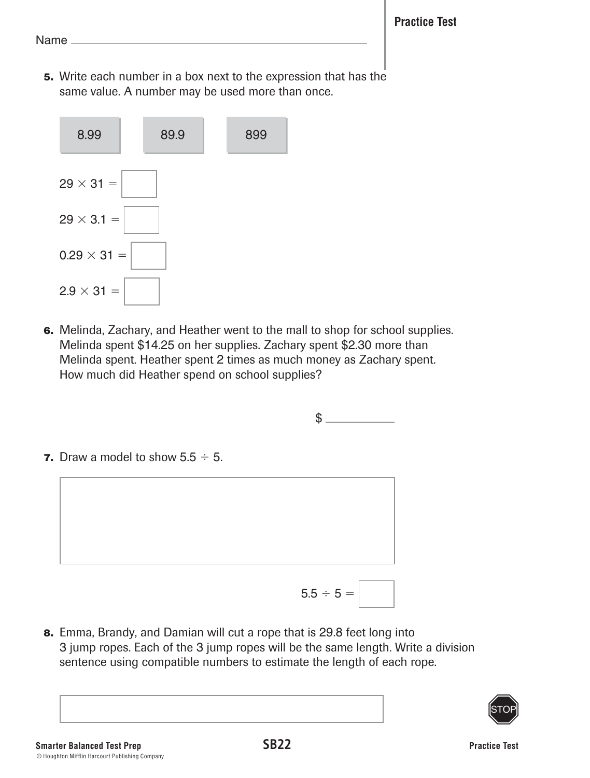**5.** Write each number in a box next to the expression that has the same value. A number may be used more than once.



 **6.** Melinda, Zachary, and Heather went to the mall to shop for school supplies. Melinda spent \$14.25 on her supplies. Zachary spent \$2.30 more than Melinda spent. Heather spent 2 times as much money as Zachary spent. How much did Heather spend on school supplies?



 **8.** Emma, Brandy, and Damian will cut a rope that is 29.8 feet long into 3 jump ropes. Each of the 3 jump ropes will be the same length. Write a division sentence using compatible numbers to estimate the length of each rope.

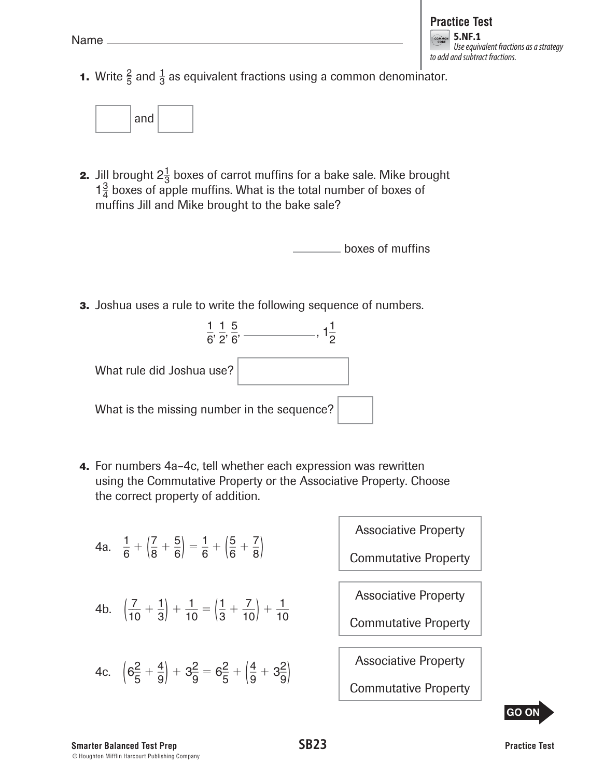**1.** Write  $\frac{2}{5}$  and  $\frac{1}{3}$  as equivalent fractions using a common denominator.



**2.** Jill brought  $2\frac{1}{3}$  boxes of carrot muffins for a bake sale. Mike brought  $1\frac{3}{4}$  boxes of apple muffins. What is the total number of boxes of muffins Jill and Mike brought to the bake sale?

boxes of muffins

**3.** Joshua uses a rule to write the following sequence of numbers.



 **4.** For numbers 4a–4c, tell whether each expression was rewritten using the Commutative Property or the Associative Property. Choose the correct property of addition.

4a. 
$$
\frac{1}{6} + \left(\frac{7}{8} + \frac{5}{6}\right) = \frac{1}{6} + \left(\frac{5}{6} + \frac{7}{8}\right)
$$
  
\n4b.  $\left(\frac{7}{10} + \frac{1}{3}\right) + \frac{1}{10} = \left(\frac{1}{3} + \frac{7}{10}\right) + \frac{1}{10}$   
\n4c.  $\left(6\frac{2}{5} + \frac{4}{9}\right) + 3\frac{2}{9} = 6\frac{2}{5} + \left(\frac{4}{9} + 3\frac{2}{9}\right)$   
\n4d.  $\left(6\frac{2}{5} + \frac{4}{9}\right) + 3\frac{2}{9} = 6\frac{2}{5} + \left(\frac{4}{9} + 3\frac{2}{9}\right)$   
\n4e.



#### **Smarter Balanced Test Prep SB23** © Houghton Mifflin Harcourt Publishing Company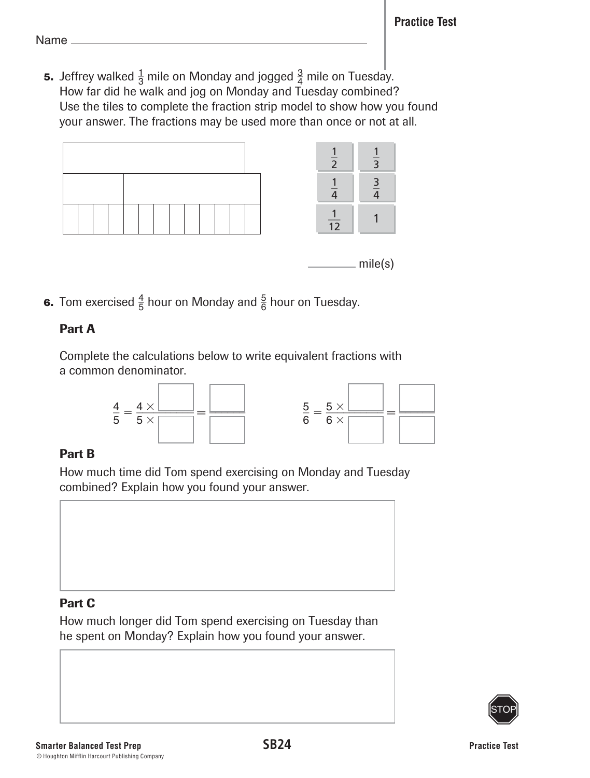**5.** Jeffrey walked  $\frac{1}{3}$  mile on Monday and jogged  $\frac{3}{4}$  mile on Tuesday. How far did he walk and jog on Monday and Tuesday combined? Use the tiles to complete the fraction strip model to show how you found your answer. The fractions may be used more than once or not at all.



**6.** Tom exercised  $\frac{4}{5}$  hour on Monday and  $\frac{5}{6}$  hour on Tuesday.

## Part A

Complete the calculations below to write equivalent fractions with a common denominator.



# Part B

How much time did Tom spend exercising on Monday and Tuesday combined? Explain how you found your answer.



## Part C

How much longer did Tom spend exercising on Tuesday than he spent on Monday? Explain how you found your answer.

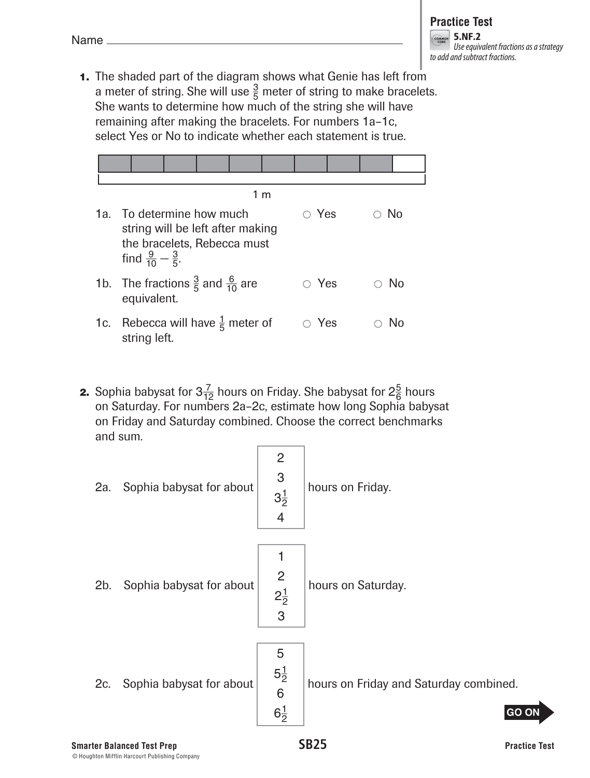**1.** The shaded part of the diagram shows what Genie has left from a meter of string. She will use  $\frac{3}{5}$  meter of string to make bracelets. She wants to determine how much of the string she will have remaining after making the bracelets. For numbers 1a–1c, select Yes or No to indicate whether each statement is true.



- 1c. Rebecca will have  $\frac{1}{5}$  meter of  $\qquad \circ$  Yes  $\qquad \circ$  No string left.
- **2.** Sophia babysat for  $3\frac{7}{12}$  hours on Friday. She babysat for  $2\frac{5}{6}$  hours on Saturday. For numbers 2a–2c, estimate how long Sophia babysat on Friday and Saturday combined. Choose the correct benchmarks and sum.

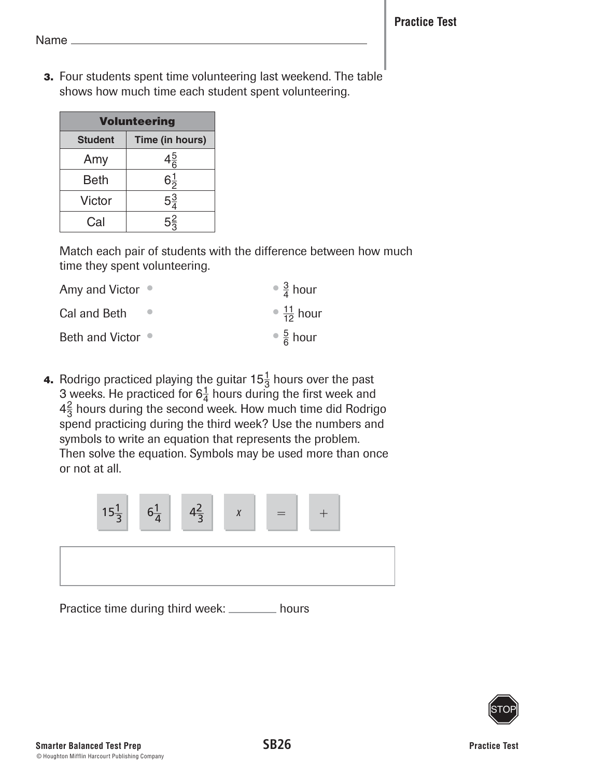**3.** Four students spent time volunteering last weekend. The table shows how much time each student spent volunteering.

| <b>Volunteering</b> |                 |  |
|---------------------|-----------------|--|
| <b>Student</b>      | Time (in hours) |  |
| Amy                 | $4\frac{5}{6}$  |  |
| <b>Beth</b>         | $6\frac{1}{2}$  |  |
| Victor              | $5\frac{3}{4}$  |  |
| Cal                 | $5\frac{2}{3}$  |  |

Match each pair of students with the difference between how much time they spent volunteering.

| Amy and Victor $\bullet$ | $\bullet \frac{3}{4}$ hour     |
|--------------------------|--------------------------------|
| Cal and Beth             | $\bullet$ $\frac{11}{12}$ hour |
| Beth and Victor ●        | $\frac{5}{6}$ hour             |

**4.** Rodrigo practiced playing the guitar  $15\frac{1}{3}$  hours over the past 3 weeks. He practiced for  $6\frac{1}{4}$  hours during the first week and  $4\frac{2}{3}$  hours during the second week. How much time did Rodrigo spend practicing during the third week? Use the numbers and symbols to write an equation that represents the problem. Then solve the equation. Symbols may be used more than once or not at all.



Practice time during third week: \_\_\_\_\_\_\_ hours

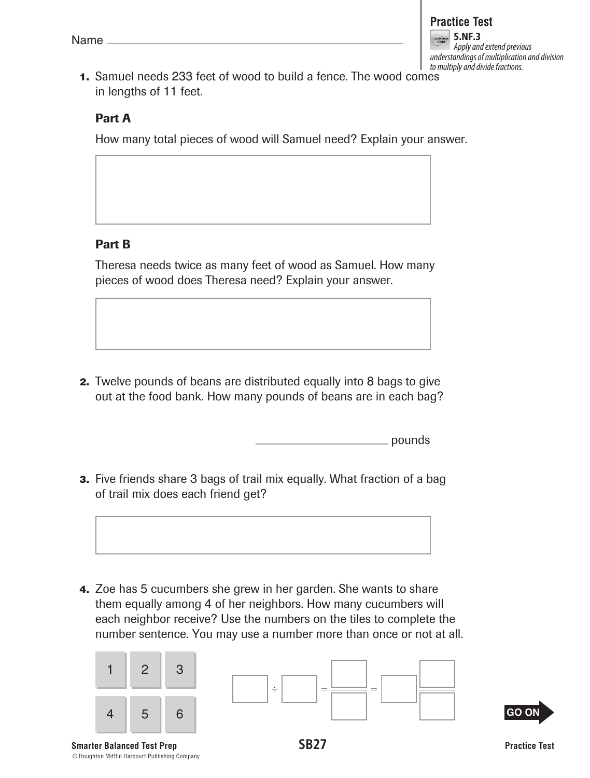

 **1.** Samuel needs 233 feet of wood to build a fence. The wood comes in lengths of 11 feet.

#### Part A

How many total pieces of wood will Samuel need? Explain your answer.

## Part B

Theresa needs twice as many feet of wood as Samuel. How many pieces of wood does Theresa need? Explain your answer.

 **2.** Twelve pounds of beans are distributed equally into 8 bags to give out at the food bank. How many pounds of beans are in each bag?

pounds

**3.** Five friends share 3 bags of trail mix equally. What fraction of a bag of trail mix does each friend get?



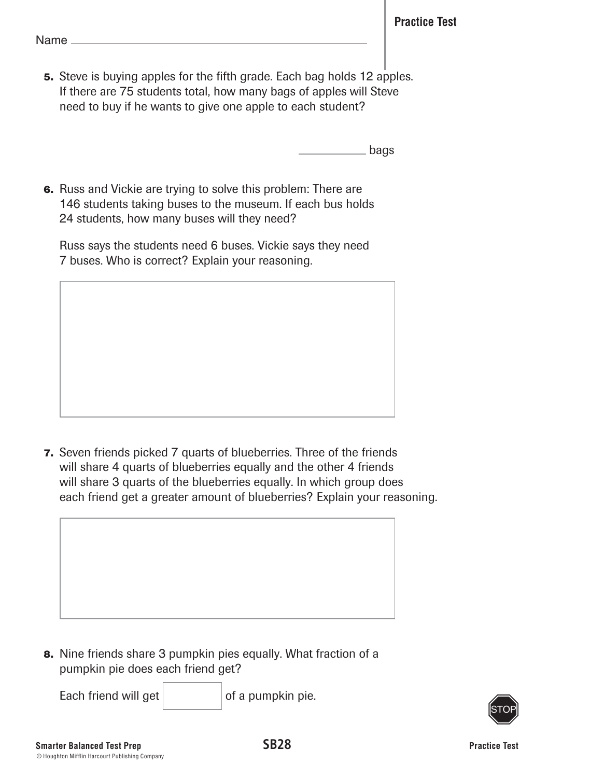**5.** Steve is buying apples for the fifth grade. Each bag holds 12 apples. If there are 75 students total, how many bags of apples will Steve need to buy if he wants to give one apple to each student?

bags

 **6.** Russ and Vickie are trying to solve this problem: There are 146 students taking buses to the museum. If each bus holds 24 students, how many buses will they need?

 Russ says the students need 6 buses. Vickie says they need 7 buses. Who is correct? Explain your reasoning.

 **7.** Seven friends picked 7 quarts of blueberries. Three of the friends will share 4 quarts of blueberries equally and the other 4 friends will share 3 quarts of the blueberries equally. In which group does each friend get a greater amount of blueberries? Explain your reasoning.



Each friend will get  $\vert$  of a pumpkin pie.

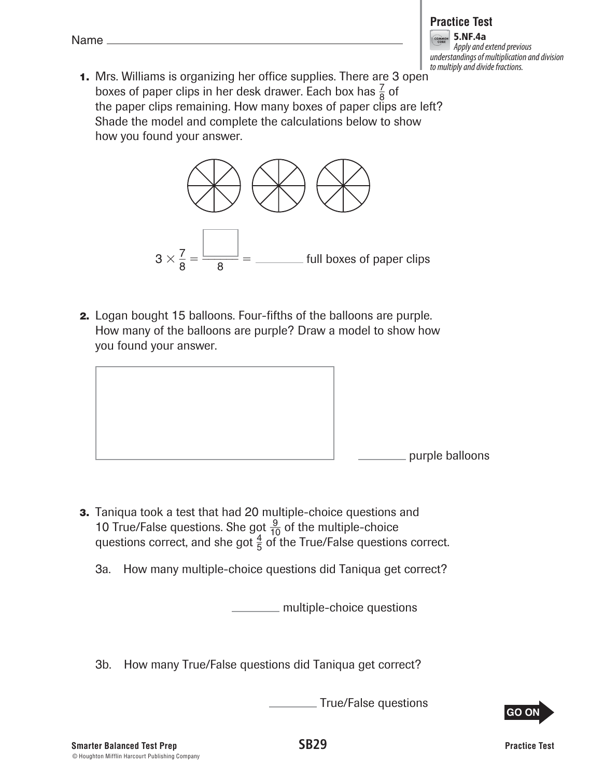## **Practice Test**

5.NF.4a Apply and extend previous understandings of multiplication and division to multiply and divide fractions.

 **1.** Mrs. Williams is organizing her office supplies. There are 3 open boxes of paper clips in her desk drawer. Each box has  $\frac{7}{8}$  of the paper clips remaining. How many boxes of paper clips are left? Shade the model and complete the calculations below to show how you found your answer.



 **2.** Logan bought 15 balloons. Four-fifths of the balloons are purple. How many of the balloons are purple? Draw a model to show how you found your answer.



- **3.** Taniqua took a test that had 20 multiple-choice questions and 10 True/False questions. She got  $\frac{9}{10}$  of the multiple-choice questions correct, and she got  $\frac{4}{5}$  of the True/False questions correct.
	- 3a. How many multiple-choice questions did Taniqua get correct?

multiple-choice questions

3b. How many True/False questions did Taniqua get correct?

True/False questions

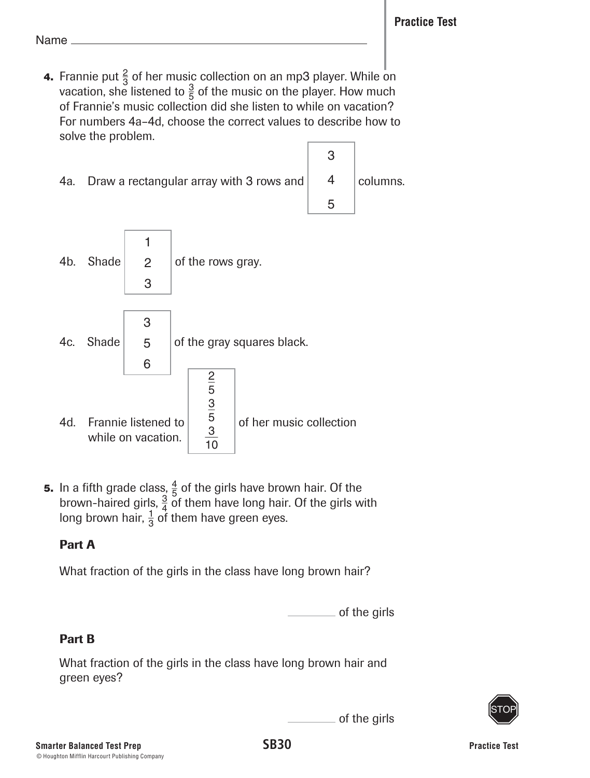**4.** Frannie put  $\frac{2}{3}$  of her music collection on an mp3 player. While on vacation, she listened to  $\frac{3}{5}$  of the music on the player. How much of Frannie's music collection did she listen to while on vacation? For numbers 4a–4d, choose the correct values to describe how to solve the problem.





**5.** In a fifth grade class,  $\frac{4}{5}$  of the girls have brown hair. Of the brown-haired girls,  $\frac{3}{4}$  of them have long hair. Of the girls with long brown hair,  $\frac{1}{3}$  of them have green eyes.

# Part A

What fraction of the girls in the class have long brown hair?



of the girls

3

4

columns.

5

# Part B

What fraction of the girls in the class have long brown hair and green eyes?

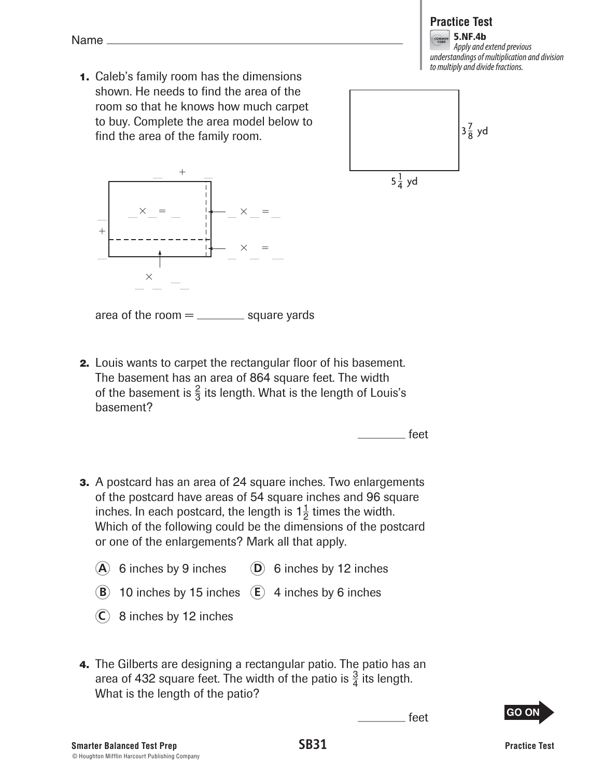

5.NF.4b Apply and extend previous understandings of multiplication and division to multiply and divide fractions.

 **1.** Caleb's family room has the dimensions shown. He needs to find the area of the room so that he knows how much carpet to buy. Complete the area model below to find the area of the family room.





area of the room  $=$   $\frac{1}{2}$  square yards

 **2.** Louis wants to carpet the rectangular floor of his basement. The basement has an area of 864 square feet. The width of the basement is  $\frac{2}{3}$  its length. What is the length of Louis's basement?

feet

- **3.** A postcard has an area of 24 square inches. Two enlargements of the postcard have areas of 54 square inches and 96 square inches. In each postcard, the length is  $1\frac{1}{2}$  times the width. Which of the following could be the dimensions of the postcard or one of the enlargements? Mark all that apply.
	- $(A)$  6 inches by 9 inches  $(D)$  6 inches by 12 inches
	- **B** 10 inches by 15 inches  $\overline{E}$  4 inches by 6 inches
	- **C** 8 inches by 12 inches
- **4.** The Gilberts are designing a rectangular patio. The patio has an area of 432 square feet. The width of the patio is  $\frac{3}{4}$  its length. What is the length of the patio?

feet

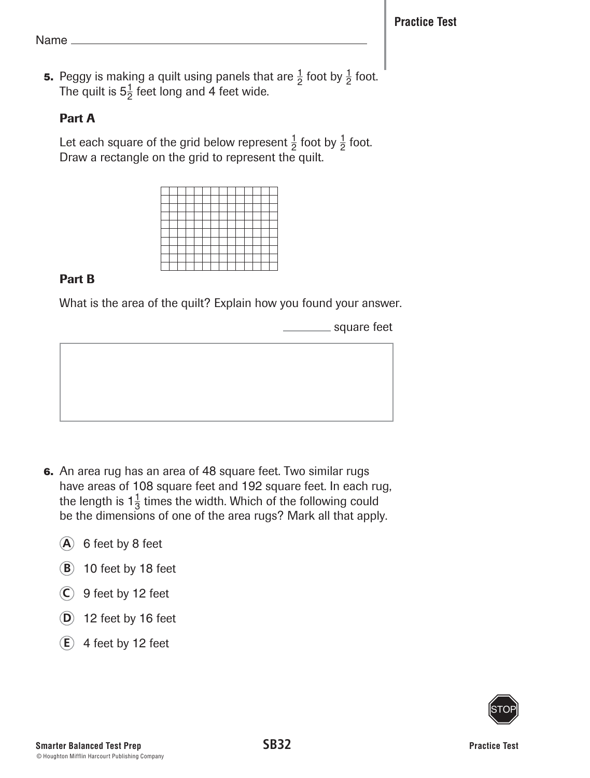**5.** Peggy is making a quilt using panels that are  $\frac{1}{2}$  foot by  $\frac{1}{2}$  foot. The quilt is  $5\frac{1}{2}$  feet long and 4 feet wide.

## Part A

Let each square of the grid below represent  $\frac{1}{2}$  foot by  $\frac{1}{2}$  foot. Draw a rectangle on the grid to represent the quilt.



# Part B

What is the area of the quilt? Explain how you found your answer.

square feet



- **6.** An area rug has an area of 48 square feet. Two similar rugs have areas of 108 square feet and 192 square feet. In each rug, the length is  $1\frac{1}{3}$  times the width. Which of the following could be the dimensions of one of the area rugs? Mark all that apply.
	- **A** 6 feet by 8 feet
	- **B** 10 feet by 18 feet
	- **C** 9 feet by 12 feet
	- **D** 12 feet by 16 feet
	- $(E)$  4 feet by 12 feet

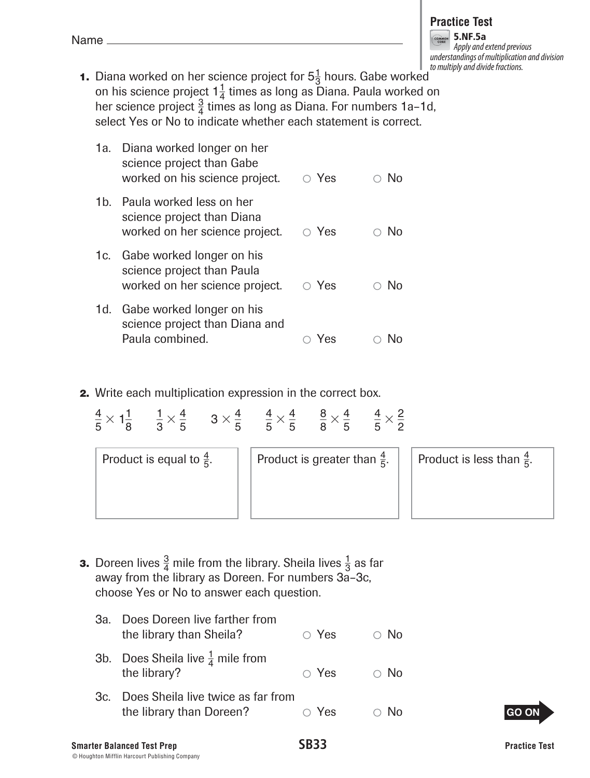| <b>Smarter Balanced Test Prep</b>              | <b>SB33</b> |
|------------------------------------------------|-------------|
| © Houghton Mifflin Harcourt Publishing Company |             |

**1.** Diana worked on her science project for  $5\frac{1}{3}$  hours. Gabe worked on his science project  $1\frac{1}{4}$  times as long as Diana. Paula worked on her science project  $\frac{3}{4}$  times as long as Diana. For numbers 1a-1d, select Yes or No to indicate whether each statement is correct.

|       | 1a. Diana worked longer on her<br>science project than Gabe<br>worked on his science project. | $\circ$ Yes | $\circ$ No |
|-------|-----------------------------------------------------------------------------------------------|-------------|------------|
| 1b. l | Paula worked less on her<br>science project than Diana<br>worked on her science project.      | $\circ$ Yes | $\circ$ No |
|       | 1c. Gabe worked longer on his<br>science project than Paula<br>worked on her science project. | $\circ$ Yes | $\circ$ No |
| 1d.   | Gabe worked longer on his<br>science project than Diana and<br>Paula combined.                | Yes         |            |

**2.** Write each multiplication expression in the correct box.

| $\frac{4}{5} \times 1\frac{1}{8}$ $\frac{1}{3} \times \frac{4}{5}$ $3 \times \frac{4}{5}$ $\frac{4}{5} \times \frac{4}{5}$ $\frac{8}{8} \times \frac{4}{5}$ $\frac{4}{5} \times \frac{2}{5}$ |                                         |                                      |
|----------------------------------------------------------------------------------------------------------------------------------------------------------------------------------------------|-----------------------------------------|--------------------------------------|
| Product is equal to $\frac{4}{5}$ .                                                                                                                                                          | Product is greater than $\frac{4}{5}$ . | Product is less than $\frac{4}{5}$ . |
|                                                                                                                                                                                              |                                         |                                      |

- **3.** Doreen lives  $\frac{3}{4}$  mile from the library. Sheila lives  $\frac{1}{3}$  as far away from the library as Doreen. For numbers 3a–3c, choose Yes or No to answer each question.
	- 3a. Does Doreen live farther from the library than Sheila?  $\bigcirc$  Yes  $\bigcirc$  No 3b. Does Sheila live  $\frac{1}{4}$  mile from the library?  $\bigcirc$  Yes  $\bigcirc$  No 3c. Does Sheila live twice as far from

the library than Doreen?  $\bigcirc$  Yes  $\bigcirc$  No

**GO ON** 

5.NF.5a Apply and extend previous understandings of multiplication and division to multiply and divide fractions.

| ۰, |  |
|----|--|
|    |  |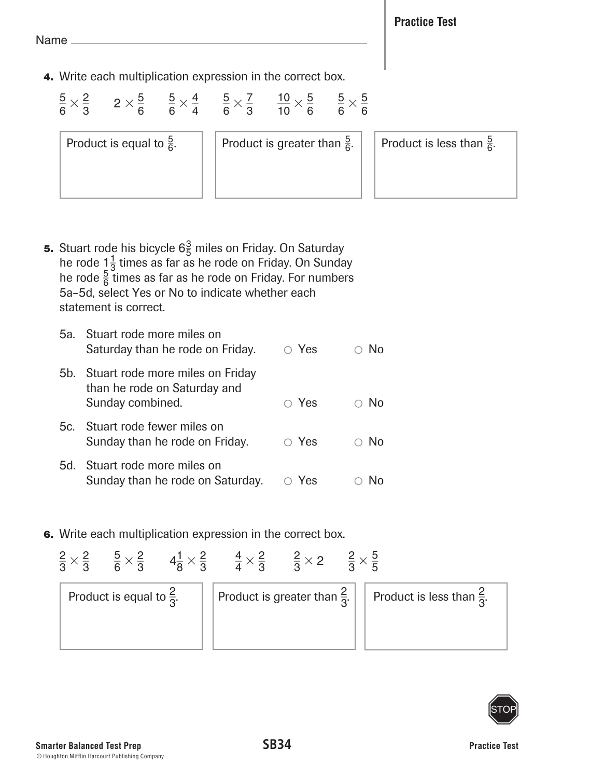**Practice Test**

Name

 **4.** Write each multiplication expression in the correct box.

 $\frac{5}{6} \times \frac{2}{3}$  $\frac{2}{3}$  2  $\times\frac{5}{6}$  $\frac{5}{6}$   $\frac{5}{6} \times \frac{4}{4}$  $\frac{4}{4}$   $\frac{5}{6} \times \frac{7}{3}$  $\frac{7}{3}$   $\frac{10}{10} \times \frac{5}{6}$  $\frac{5}{6}$   $\frac{5}{6}$   $\times \frac{5}{6}$ 6

Product is equal to  $\frac{5}{6}$ .

Product is greater than  $\frac{5}{6}$ .

 $\frac{5}{6}$ . Product is less than  $\frac{5}{6}$ .

**5.** Stuart rode his bicycle  $6\frac{3}{5}$  miles on Friday. On Saturday he rode  $1\frac{1}{3}$  times as far as he rode on Friday. On Sunday he rode  $\frac{5}{6}$  times as far as he rode on Friday. For numbers 5a–5d, select Yes or No to indicate whether each statement is correct.

| 5a. Stuart rode more miles on<br>Saturday than he rode on Friday.                        | $\circ$ Yes | No         |
|------------------------------------------------------------------------------------------|-------------|------------|
| 5b. Stuart rode more miles on Friday<br>than he rode on Saturday and<br>Sunday combined. | $\circ$ Yes | - No       |
| 5c. Stuart rode fewer miles on<br>Sunday than he rode on Friday.                         | $\circ$ Yes | $\circ$ No |
| 5d. Stuart rode more miles on<br>Sunday than he rode on Saturday.                        | Yes         |            |

 **6.** Write each multiplication expression in the correct box.



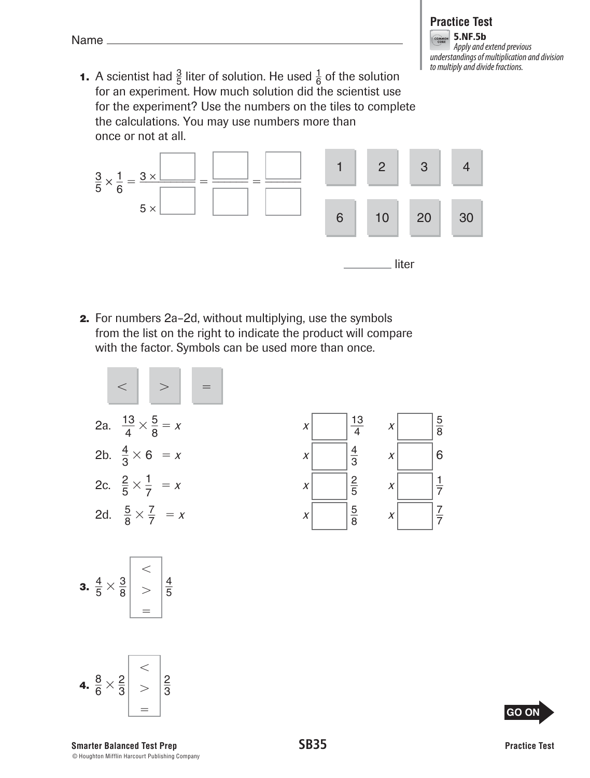#### **Practice Test S.NF.5b** Apply and extend previous

understandings of multiplication and division to multiply and divide fractions.

**1.** A scientist had  $\frac{3}{5}$  liter of solution. He used  $\frac{1}{6}$  of the solution for an experiment. How much solution did the scientist use for the experiment? Use the numbers on the tiles to complete the calculations. You may use numbers more than once or not at all.



 **2.** For numbers 2a–2d, without multiplying, use the symbols from the list on the right to indicate the product will compare with the factor. Symbols can be used more than once.







**Smarter Balanced Test Prep SB35** © Houghton Mifflin Harcourt Publishing Company



**GO ON**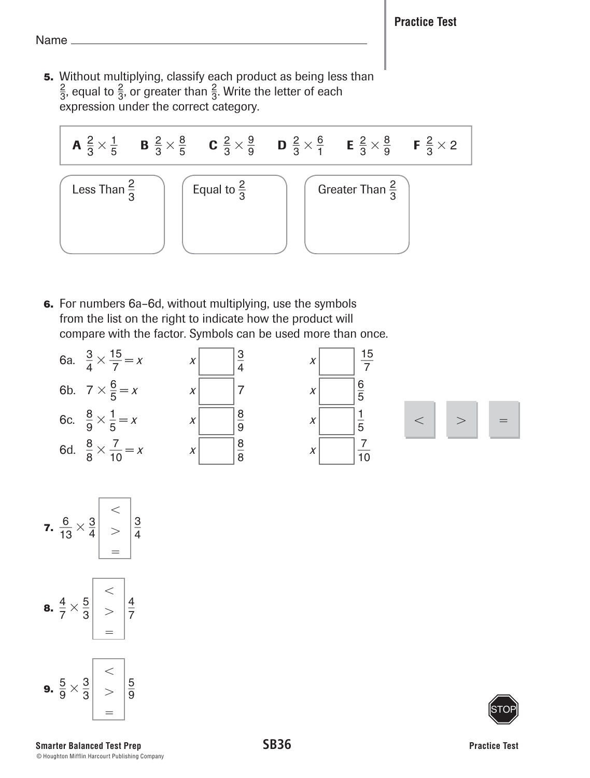**5.** Without multiplying, classify each product as being less than  $\frac{2}{3}$ , equal to  $\frac{2}{3}$ , or greater than  $\frac{2}{3}$ . Write the letter of each expression under the correct category.

| A $\frac{2}{3} \times \frac{1}{5}$ | B $\frac{2}{3} \times \frac{8}{5}$ | C $\frac{2}{3} \times \frac{9}{9}$ | D $\frac{2}{3} \times \frac{6}{1}$ | E $\frac{2}{3} \times \frac{8}{9}$ | F $\frac{2}{3} \times 2$ |
|------------------------------------|------------------------------------|------------------------------------|------------------------------------|------------------------------------|--------------------------|
| Less Than $\frac{2}{3}$            | Equal to $\frac{2}{3}$             | Greenter Than $\frac{2}{3}$        |                                    |                                    |                          |

 **6.** For numbers 6a–6d, without multiplying, use the symbols from the list on the right to indicate how the product will compare with the factor. Symbols can be used more than once.







=

9

3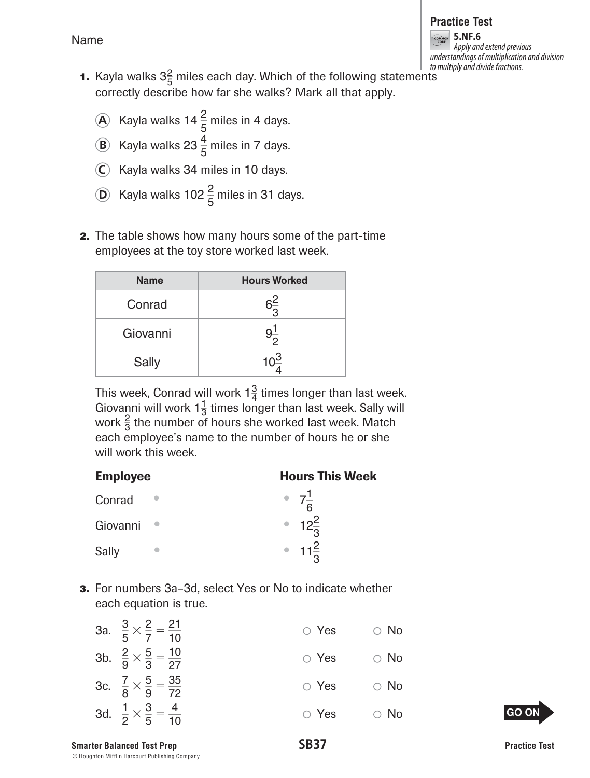#### **Practice Test**

5.NF.6 Apply and extend previous understandings of multiplication and division to multiply and divide fractions.

- **1.** Kayla walks  $3\frac{2}{5}$  miles each day. Which of the following statements correctly describe how far she walks? Mark all that apply.
	- A Kayla walks 14 $\frac{2}{5}$  miles in 4 days.
	- **B** Kayla walks 23 $\frac{4}{5}$  miles in 7 days.
	- **C** Kayla walks 34 miles in 10 days.
	- **D** Kayla walks 102  $\frac{2}{5}$  miles in 31 days.
	- **2.** The table shows how many hours some of the part-time employees at the toy store worked last week.

| <b>Name</b> | <b>Hours Worked</b> |
|-------------|---------------------|
| Conrad      | ຈ $\frac{2}{3}$     |
| Giovanni    |                     |
| Sally       |                     |

This week, Conrad will work  $1\frac{3}{4}$  times longer than last week. Giovanni will work  $1\frac{1}{3}$  times longer than last week. Sally will work  $\frac{2}{3}$  the number of hours she worked last week. Match each employee's name to the number of hours he or she will work this week.

| <b>Employee</b> | <b>Hours This Week</b> |
|-----------------|------------------------|
| Conrad          | • $7\frac{1}{6}$       |
| Giovanni        | • $12\frac{2}{3}$      |
| Sally           | • $11\frac{2}{3}$      |

 **3.** For numbers 3a–3d, select Yes or No to indicate whether each equation is true.

| 3a. $\frac{3}{5} \times \frac{2}{7} = \frac{21}{10}$ | $\circ$ Yes | $\circ$ No |
|------------------------------------------------------|-------------|------------|
| 3b. $\frac{2}{9} \times \frac{5}{3} = \frac{10}{27}$ | $\circ$ Yes | $\circ$ No |
| 3c. $\frac{7}{8} \times \frac{5}{9} = \frac{35}{72}$ | $\circ$ Yes | $\circ$ No |
| 3d. $\frac{1}{2} \times \frac{3}{5} = \frac{4}{10}$  | $\circ$ Yes | $\circ$ No |

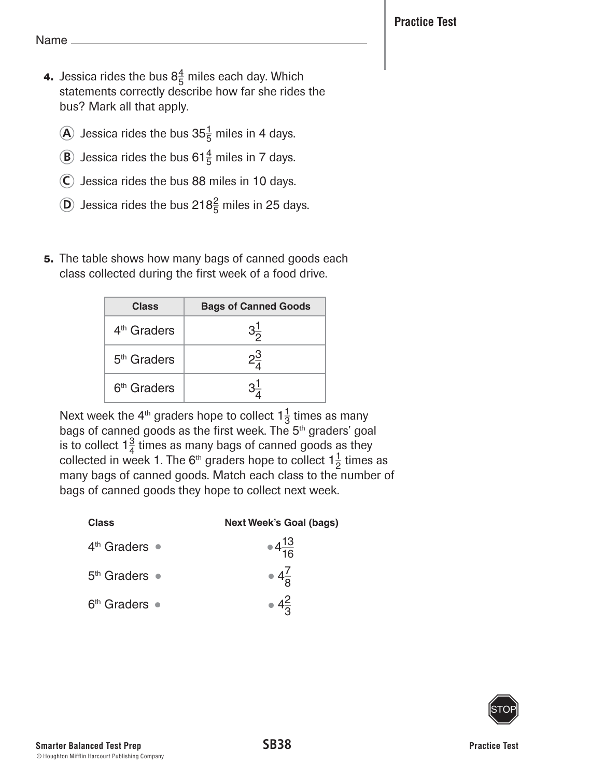- **4.** Jessica rides the bus  $8\frac{4}{5}$  miles each day. Which statements correctly describe how far she rides the bus? Mark all that apply.
	- $\widehat{\mathbf{A}}$  Jessica rides the bus 35 $\frac{1}{5}$  miles in 4 days.
	- **B** Jessica rides the bus 61 $\frac{4}{5}$  miles in 7 days.
	- **C** Jessica rides the bus 88 miles in 10 days.
	- $\widehat{D}$  Jessica rides the bus 218 $\frac{2}{5}$  miles in 25 days.
	- **5.** The table shows how many bags of canned goods each class collected during the first week of a food drive.

| <b>Class</b>            | <b>Bags of Canned Goods</b> |
|-------------------------|-----------------------------|
| 4 <sup>th</sup> Graders | $3\frac{1}{2}$              |
| 5 <sup>th</sup> Graders | $2\frac{3}{4}$              |
| 6 <sup>th</sup> Graders |                             |

Next week the 4<sup>th</sup> graders hope to collect  $1\frac{1}{3}$  times as many bags of canned goods as the first week. The 5<sup>th</sup> graders' goal is to collect  $1\frac{3}{4}$  times as many bags of canned goods as they collected in week 1. The 6<sup>th</sup> graders hope to collect  $1\frac{1}{2}$  times as many bags of canned goods. Match each class to the number of bags of canned goods they hope to collect next week.

| <b>Class</b>            | <b>Next Week's Goal (bags)</b> |
|-------------------------|--------------------------------|
| $4th$ Graders $\bullet$ | $\bullet 4\frac{13}{16}$       |
| $5th$ Graders $\bullet$ | $\bullet$ $4\frac{7}{9}$       |
| $6th$ Graders $\bullet$ | • $4\frac{2}{5}$               |

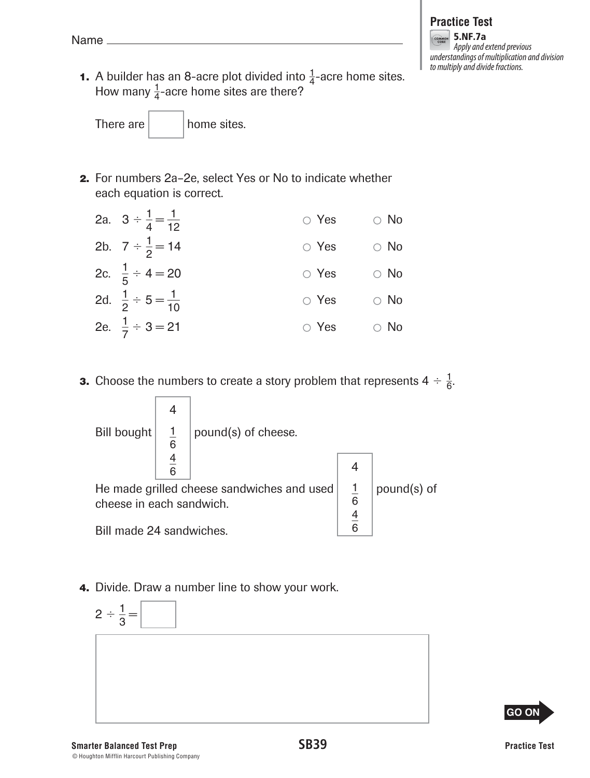#### **Practice Test GOANGR** 5.NF.7a Apply and extend previous understandings of multiplication and division to multiply and divide fractions.

**1.** A builder has an 8-acre plot divided into  $\frac{1}{4}$ -acre home sites. How many  $\frac{1}{4}$ -acre home sites are there?

There are  $\vert$  home sites.

 **2.** For numbers 2a–2e, select Yes or No to indicate whether each equation is correct.

| 2a. $3 \div \frac{1}{4} = \frac{1}{12}$ | $\circ$ Yes | $\circ$ No |
|-----------------------------------------|-------------|------------|
| 2b. $7 \div \frac{1}{2} = 14$           | $\circ$ Yes | $\circ$ No |
| 2c. $\frac{1}{5} \div 4 = 20$           | $\circ$ Yes | $\circ$ No |
| 2d. $\frac{1}{2} \div 5 = \frac{1}{10}$ | $\circ$ Yes | $\circ$ No |
| 2e. $\frac{1}{7} \div 3 = 21$           | $\circ$ Yes | $\circ$ No |

**3.** Choose the numbers to create a story problem that represents  $4 \div \frac{1}{6}$ .



 **4.** Divide. Draw a number line to show your work.

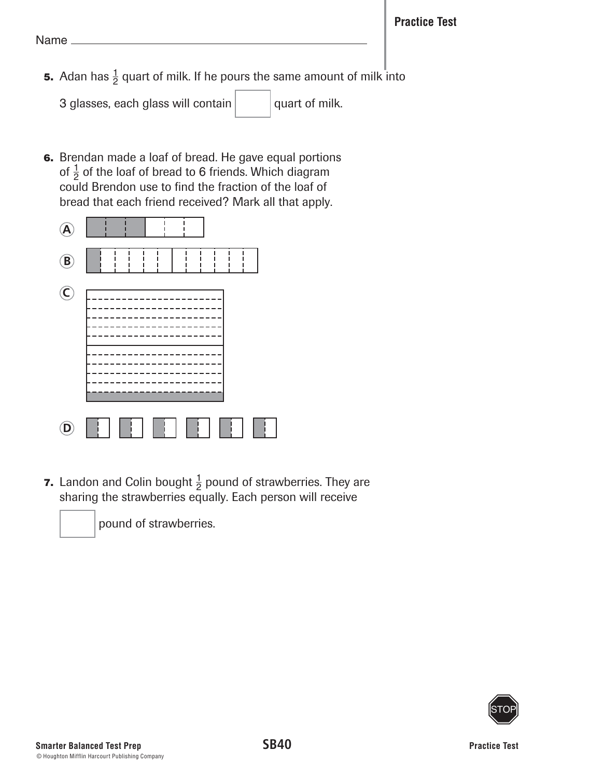**5.** Adan has  $\frac{1}{2}$  quart of milk. If he pours the same amount of milk into

3 glasses, each glass will contain  $\vert$  quart of milk.

 **6.** Brendan made a loaf of bread. He gave equal portions of  $\frac{1}{2}$  of the loaf of bread to 6 friends. Which diagram could Brendon use to find the fraction of the loaf of bread that each friend received? Mark all that apply.



**7.** Landon and Colin bought  $\frac{1}{2}$  pound of strawberries. They are sharing the strawberries equally. Each person will receive



pound of strawberries.

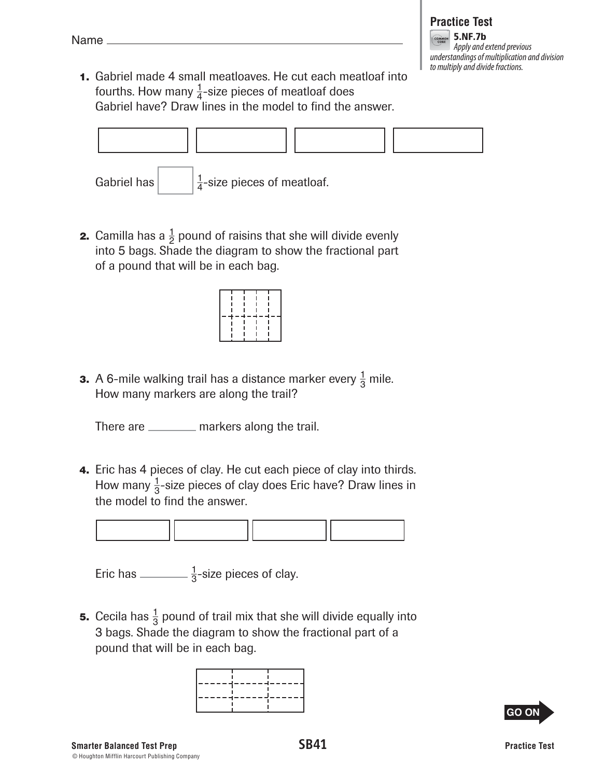# **Practice Test**

5.NF.7b Apply and extend previous understandings of multiplication and division to multiply and divide fractions.

 **1.** Gabriel made 4 small meatloaves. He cut each meatloaf into fourths. How many  $\frac{1}{4}$ -size pieces of meatloaf does Gabriel have? Draw lines in the model to find the answer.



**2.** Camilla has a  $\frac{1}{2}$  pound of raisins that she will divide evenly into 5 bags. Shade the diagram to show the fractional part of a pound that will be in each bag.

|  | -4-4-4 |  |
|--|--------|--|
|  |        |  |
|  |        |  |
|  |        |  |
|  |        |  |

**3.** A 6-mile walking trail has a distance marker every  $\frac{1}{3}$  mile. How many markers are along the trail?

There are <u>equal</u> markers along the trail.

 **4.** Eric has 4 pieces of clay. He cut each piece of clay into thirds. How many  $\frac{1}{3}$ -size pieces of clay does Eric have? Draw lines in the model to find the answer.



Eric has \_\_\_\_\_\_\_\_\_ $\frac{1}{3}$ -size pieces of clay.

**5.** Cecila has  $\frac{1}{3}$  pound of trail mix that she will divide equally into 3 bags. Shade the diagram to show the fractional part of a pound that will be in each bag.



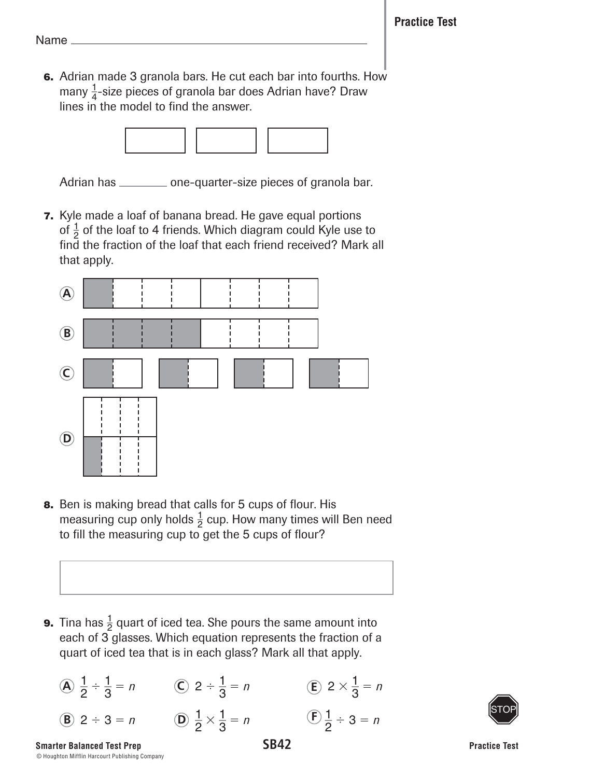**6.** Adrian made 3 granola bars. He cut each bar into fourths. How many  $\frac{1}{4}$ -size pieces of granola bar does Adrian have? Draw lines in the model to find the answer.



Adrian has \_\_\_\_\_\_\_\_\_\_ one-quarter-size pieces of granola bar.

 **7.** Kyle made a loaf of banana bread. He gave equal portions of  $\frac{1}{2}$  of the loaf to 4 friends. Which diagram could Kyle use to find the fraction of the loaf that each friend received? Mark all that apply.



 **8.** Ben is making bread that calls for 5 cups of flour. His measuring cup only holds  $\frac{1}{2}$  cup. How many times will Ben need to fill the measuring cup to get the 5 cups of flour?



**9.** Tina has  $\frac{1}{2}$  quart of iced tea. She pours the same amount into each of 3 glasses. Which equation represents the fraction of a quart of iced tea that is in each glass? Mark all that apply.

| (A) $\frac{1}{2} \div \frac{1}{3} = n$ | (C) $2 \div \frac{1}{3} = n$             | (E) $2 \times \frac{1}{3} = n$ |
|----------------------------------------|------------------------------------------|--------------------------------|
| (B) $2 \div 3 = n$                     | (D) $\frac{1}{2} \times \frac{1}{3} = n$ | (E) $\frac{1}{2} \div 3 = n$   |

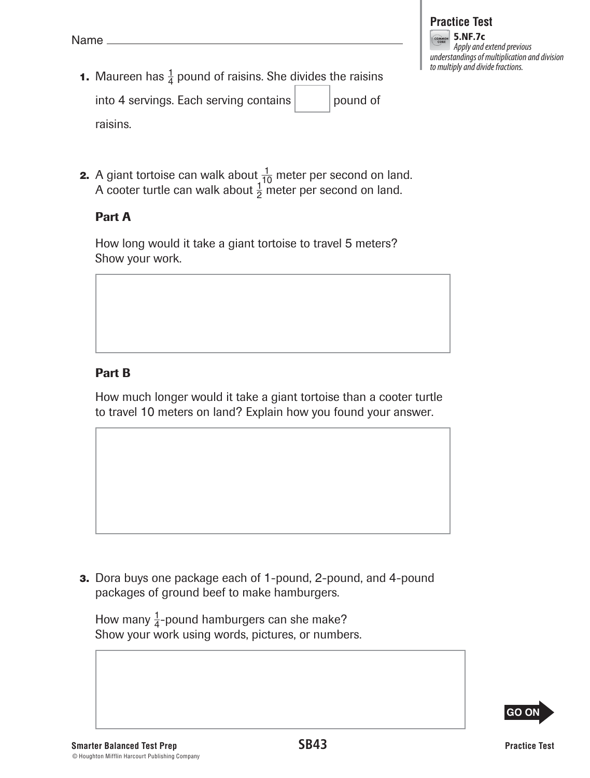- **1.** Maureen has  $\frac{1}{4}$  pound of raisins. She divides the raisins into 4 servings. Each serving contains  $|$  | pound of raisins.
- **2.** A giant tortoise can walk about  $\frac{1}{10}$  meter per second on land. A cooter turtle can walk about  $\frac{1}{2}$  meter per second on land.

#### Part A

How long would it take a giant tortoise to travel 5 meters? Show your work.

## Part B

How much longer would it take a giant tortoise than a cooter turtle to travel 10 meters on land? Explain how you found your answer.

 **3.** Dora buys one package each of 1-pound, 2-pound, and 4-pound packages of ground beef to make hamburgers.

How many  $\frac{1}{4}$ -pound hamburgers can she make? Show your work using words, pictures, or numbers.

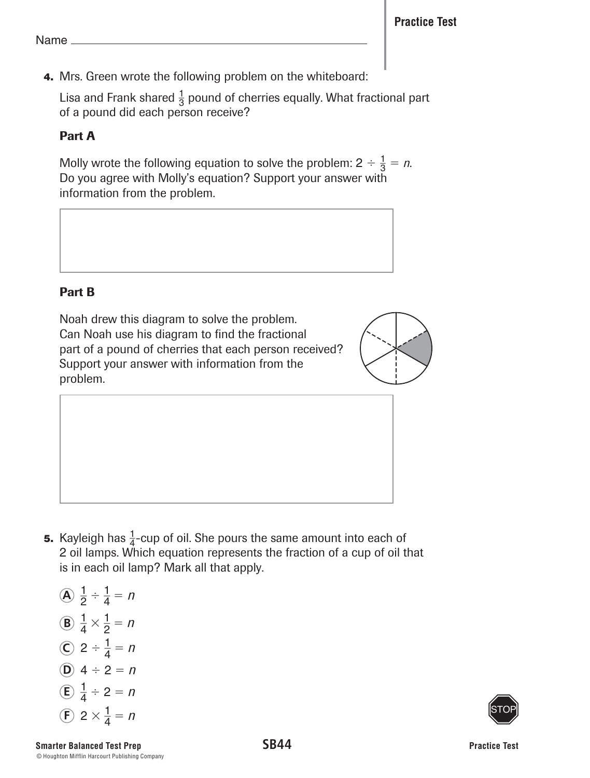**4.** Mrs. Green wrote the following problem on the whiteboard:

Lisa and Frank shared  $\frac{1}{3}$  pound of cherries equally. What fractional part of a pound did each person receive?

# Part A

Molly wrote the following equation to solve the problem:  $2 \div \frac{1}{3} = n$ . Do you agree with Molly's equation? Support your answer with information from the problem.

# Part B

Noah drew this diagram to solve the problem. Can Noah use his diagram to find the fractional part of a pound of cherries that each person received? Support your answer with information from the problem.



**5.** Kayleigh has  $\frac{1}{4}$ -cup of oil. She pours the same amount into each of 2 oil lamps. Which equation represents the fraction of a cup of oil that is in each oil lamp? Mark all that apply.

\n- (A) 
$$
\frac{1}{2} \div \frac{1}{4} = n
$$
\n- (B)  $\frac{1}{4} \times \frac{1}{2} = n$
\n- (C)  $2 \div \frac{1}{4} = n$
\n- (D)  $4 \div 2 = n$
\n- (E)  $\frac{1}{4} \div 2 = n$
\n- (E)  $2 \times \frac{1}{4} = n$
\n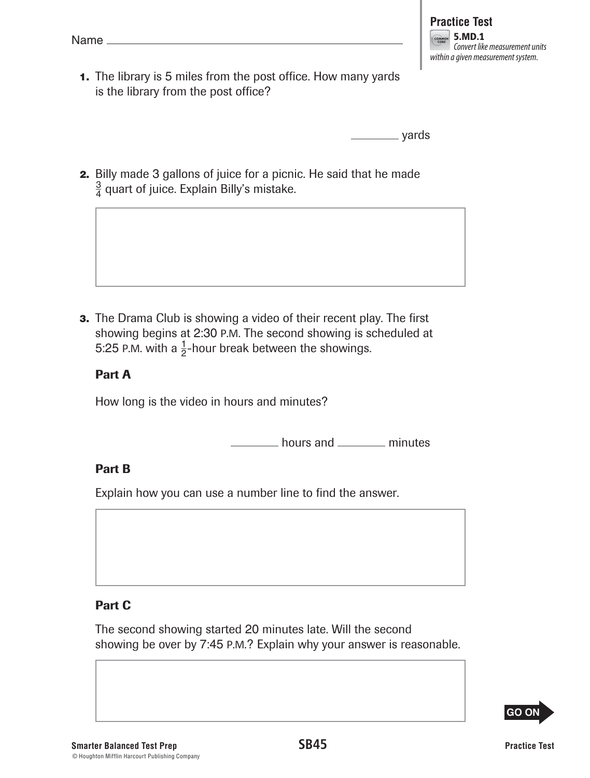| - | ı<br>ı. |  |
|---|---------|--|
|   |         |  |

 **1.** The library is 5 miles from the post office. How many yards is the library from the post office?

yards

**2.** Billy made 3 gallons of juice for a picnic. He said that he made  $\frac{3}{4}$  quart of juice. Explain Billy's mistake.

**3.** The Drama Club is showing a video of their recent play. The first showing begins at 2:30 P.M. The second showing is scheduled at 5:25 P.M. with a  $\frac{1}{2}$ -hour break between the showings.

## Part A

How long is the video in hours and minutes?

hours and \_\_\_\_\_\_\_\_ minutes

## Part B

Explain how you can use a number line to find the answer.

## Part C

The second showing started 20 minutes late. Will the second showing be over by 7:45 P.M.? Explain why your answer is reasonable.

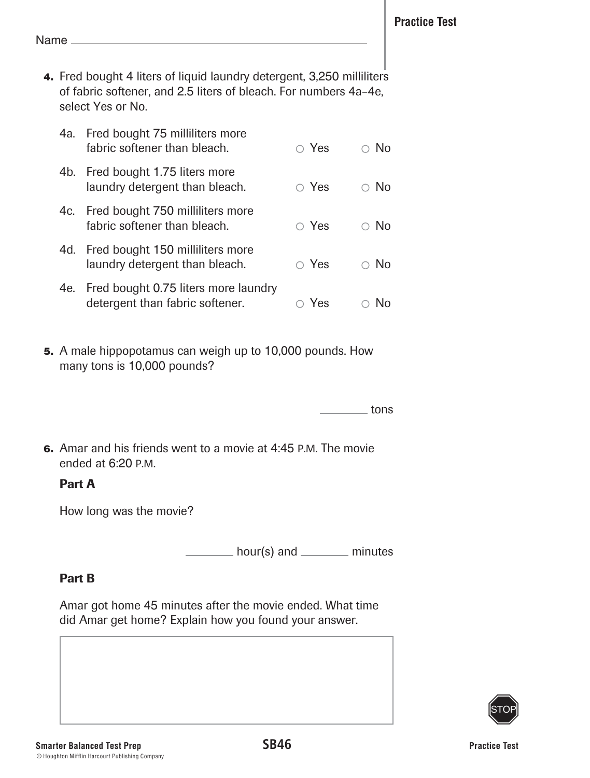**4.** Fred bought 4 liters of liquid laundry detergent, 3,250 milliliters of fabric softener, and 2.5 liters of bleach. For numbers 4a–4e, select Yes or No.

| 4a. | Fred bought 75 milliliters more<br>fabric softener than bleach.         | $\circ$ Yes | N٥ |
|-----|-------------------------------------------------------------------------|-------------|----|
| 4b. | Fred bought 1.75 liters more<br>laundry detergent than bleach.          | $\circ$ Yes | N∩ |
|     | 4c. Fred bought 750 milliliters more<br>fabric softener than bleach.    | $\circ$ Yes | No |
|     | 4d. Fred bought 150 milliliters more<br>laundry detergent than bleach.  | $\circ$ Yes | No |
| 4e. | Fred bought 0.75 liters more laundry<br>detergent than fabric softener. | Yes         |    |

 **5.** A male hippopotamus can weigh up to 10,000 pounds. How many tons is 10,000 pounds?

<u>net</u> tons

 **6.** Amar and his friends went to a movie at 4:45 P.M. The movie ended at 6:20 P.M.

#### Part A

How long was the movie?

 $h_{\text{our}}(s)$  and  $\frac{m}{s}$  minutes

## Part B

Amar got home 45 minutes after the movie ended. What time did Amar get home? Explain how you found your answer.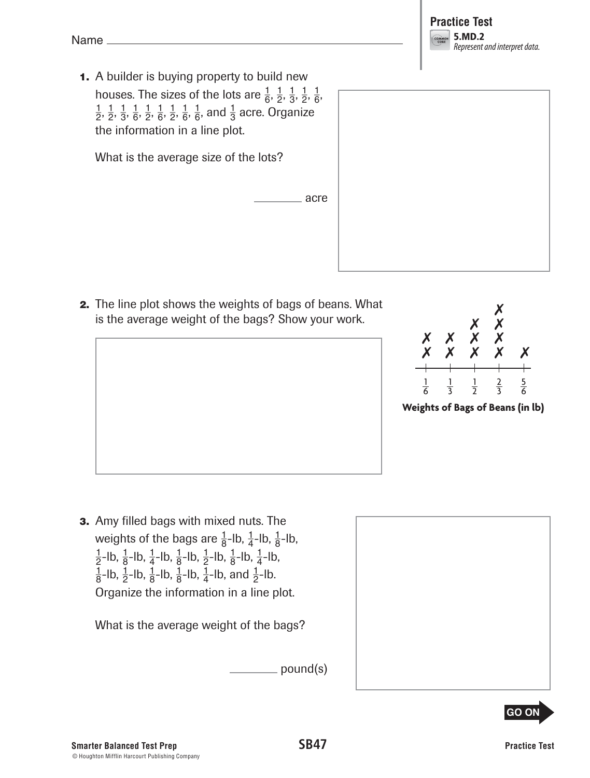

 **1.** A builder is buying property to build new houses. The sizes of the lots are  $\frac{1}{6}$ ,  $\frac{1}{2}$ ,  $\frac{1}{3}$ ,  $\frac{1}{2}$ ,  $\frac{1}{6}$ ,

 $\frac{1}{2}$ ,  $\frac{1}{2}$ ,  $\frac{1}{6}$ ,  $\frac{1}{2}$ ,  $\frac{1}{6}$ ,  $\frac{1}{2}$ ,  $\frac{1}{6}$ ,  $\frac{1}{6}$ , and  $\frac{1}{3}$  acre. Organize the information in a line plot.

What is the average size of the lots?

 **2.** The line plot shows the weights of bags of beans. What is the average weight of the bags? Show your work.

acre



**Weights of Bags of Beans (in lb)**

 **3.** Amy filled bags with mixed nuts. The weights of the bags are  $\frac{1}{8}$ -lb,  $\frac{1}{4}$ -lb,  $\frac{1}{8}$ -lb,  $\frac{1}{2}$ -lb,  $\frac{1}{8}$ -lb,  $\frac{1}{4}$ -lb,  $\frac{1}{8}$ -lb,  $\frac{1}{2}$ -lb,  $\frac{1}{8}$ -lb,  $\frac{1}{4}$ -lb,  $\frac{1}{8}$ -lb,  $\frac{1}{2}$ -lb,  $\frac{1}{8}$ -lb,  $\frac{1}{4}$ -lb, and  $\frac{1}{2}$ -lb. Organize the information in a line plot.

What is the average weight of the bags?

pound(s)



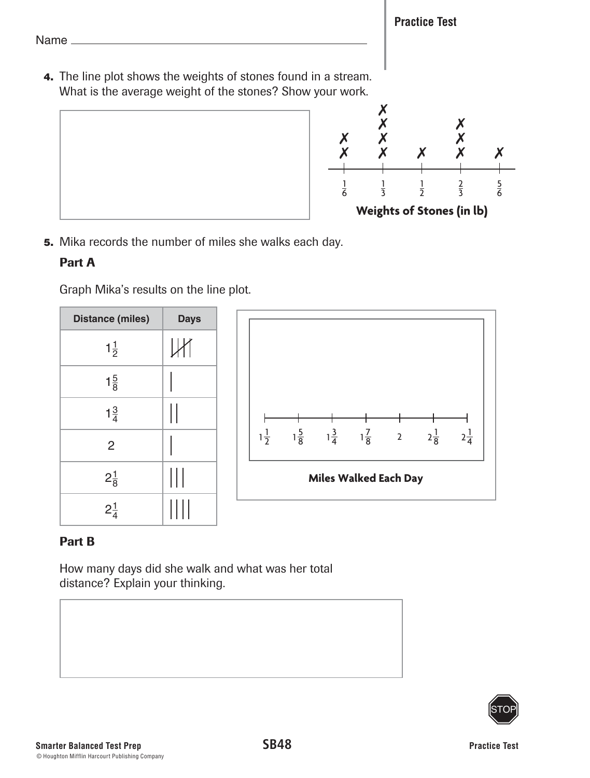**Practice Test**

Name

 **4.** The line plot shows the weights of stones found in a stream. What is the average weight of the stones? Show your work.



 **5.** Mika records the number of miles she walks each day.

# Part A

Graph Mika's results on the line plot.

| <b>Distance (miles)</b> | <b>Days</b>          |
|-------------------------|----------------------|
| $1\frac{1}{2}$          | Ш                    |
| $1\frac{5}{8}$          |                      |
| $1\frac{3}{4}$          |                      |
| $\overline{2}$          |                      |
| $2\frac{1}{8}$          | $\mathop{\text{  }}$ |
| $2\frac{1}{4}$          | ШI                   |



# Part B

How many days did she walk and what was her total distance? Explain your thinking.

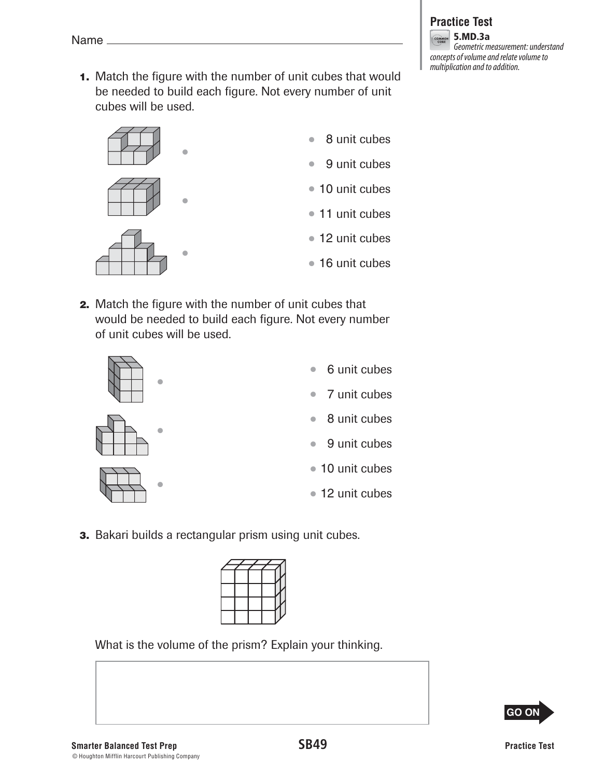**1.** Match the figure with the number of unit cubes that would be needed to build each figure. Not every number of unit cubes will be used.



•

•



- 11 unit cubes
- 12 unit cubes
- 16 unit cubes
- **2.** Match the figure with the number of unit cubes that would be needed to build each figure. Not every number of unit cubes will be used.



•

- 
- 7 unit cubes • 8 unit cubes

• 6 unit cubes

- 9 unit cubes
- 10 unit cubes
- 12 unit cubes
- **3.** Bakari builds a rectangular prism using unit cubes.



What is the volume of the prism? Explain your thinking.

**GO ON**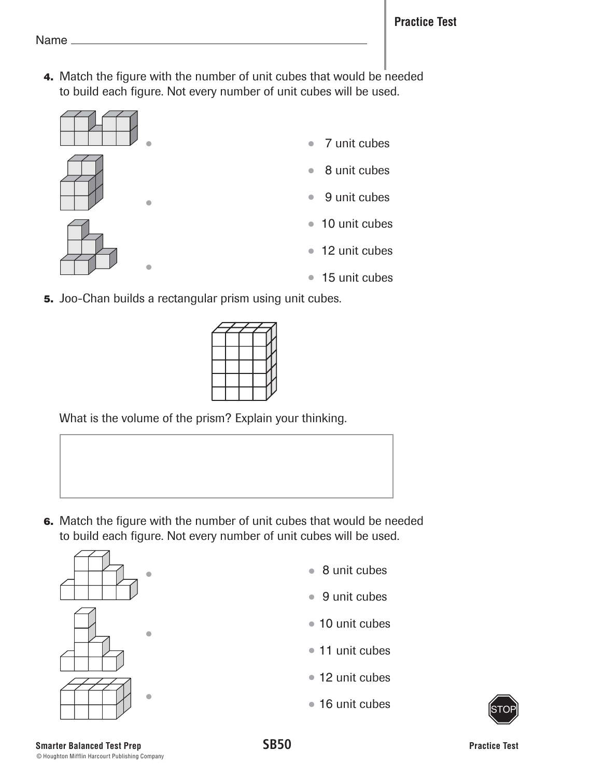**4.** Match the figure with the number of unit cubes that would be needed to build each figure. Not every number of unit cubes will be used.



- • • • 7 unit cubes • 8 unit cubes • 9 unit cubes • 10 unit cubes • 12 unit cubes • 15 unit cubes
- **5.** Joo-Chan builds a rectangular prism using unit cubes.



What is the volume of the prism? Explain your thinking.

 **6.** Match the figure with the number of unit cubes that would be needed to build each figure. Not every number of unit cubes will be used.



- 8 unit cubes
- 9 unit cubes
- 10 unit cubes
- 11 unit cubes
- 12 unit cubes
- 16 unit cubes

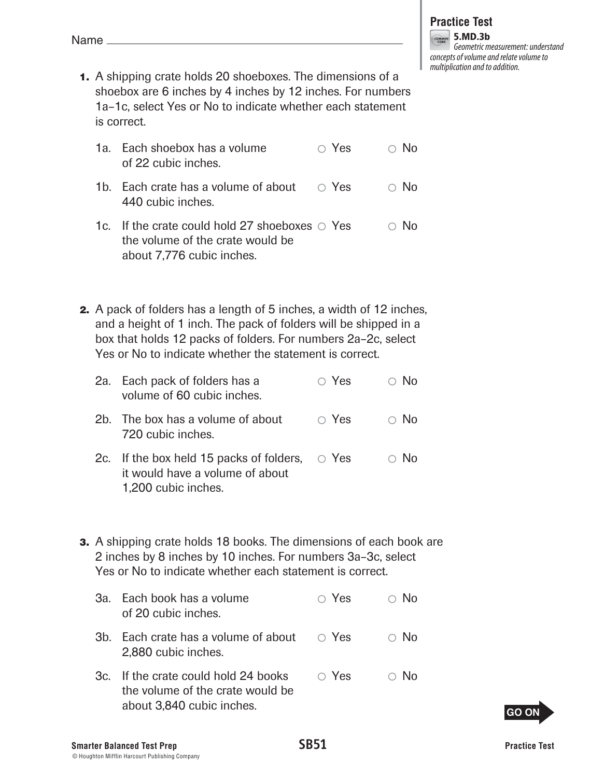- **1.** A shipping crate holds 20 shoeboxes. The dimensions of a shoebox are 6 inches by 4 inches by 12 inches. For numbers 1a–1c, select Yes or No to indicate whether each statement is correct.
	- 1a. Each shoebox has a volume  $\bigcirc$  Yes  $\bigcirc$  No of 22 cubic inches.
	- 1b. Each crate has a volume of about  $\circ$  Yes  $\circ$  No 440 cubic inches.
	- 1c. If the crate could hold 27 shoeboxes  $\circ$  Yes  $\circ$  No the volume of the crate would be about 7,776 cubic inches.
- **2.** A pack of folders has a length of 5 inches, a width of 12 inches, and a height of 1 inch. The pack of folders will be shipped in a box that holds 12 packs of folders. For numbers 2a–2c, select Yes or No to indicate whether the statement is correct.

| 2a. Each pack of folders has a | $\circ$ Yes | $\circ$ No |
|--------------------------------|-------------|------------|
| volume of 60 cubic inches.     |             |            |

- 2b. The box has a volume of about  $\bigcirc$  Yes  $\bigcirc$  No 720 cubic inches.
- 2c. If the box held 15 packs of folders,  $\circ$  Yes  $\circ$  No it would have a volume of about 1,200 cubic inches.
- **3.** A shipping crate holds 18 books. The dimensions of each book are 2 inches by 8 inches by 10 inches. For numbers 3a–3c, select Yes or No to indicate whether each statement is correct.
	- 3a. Each book has a volume  $\bigcirc$  Yes  $\bigcirc$  No of 20 cubic inches. 3b. Each crate has a volume of about  $\circ$  Yes  $\circ$  No
	- 3c. If the crate could hold 24 books  $\bigcirc$  Yes  $\bigcirc$  No the volume of the crate would be



2,880 cubic inches.



**Practice Test**  $5.MD.3b$ Geometric measurement: understand concepts of volume and relate volume to multiplication and to addition.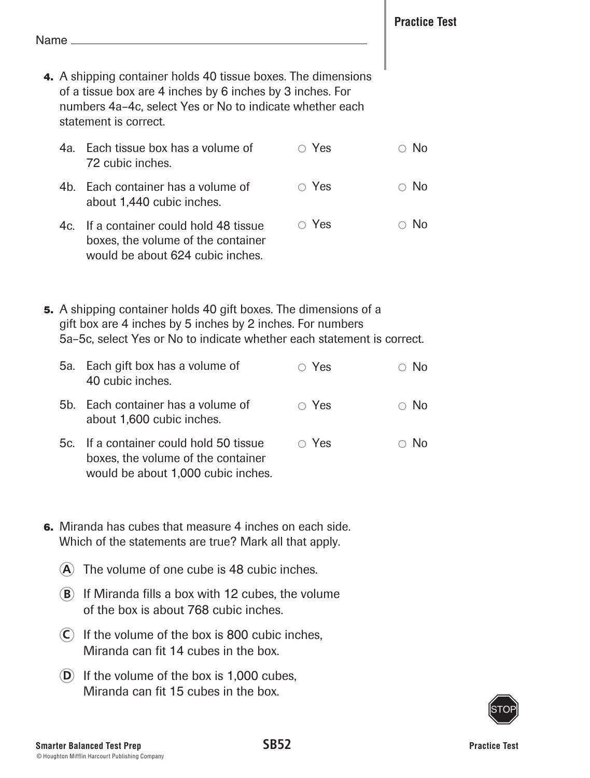- **4.** A shipping container holds 40 tissue boxes. The dimensions of a tissue box are 4 inches by 6 inches by 3 inches. For numbers 4a–4c, select Yes or No to indicate whether each statement is correct.
	- 4a. Each tissue box has a volume of 72 cubic inches. 4b. Each container has a volume of about 1,440 cubic inches. 4c. If a container could hold 48 tissue  $\bigcirc$  Yes  $\bigcirc$  No  $\bigcirc$  Yes  $\bigcirc$  No  $\circ$  Yes  $\circ$  No
	- boxes, the volume of the container would be about 624 cubic inches.
- **5.** A shipping container holds 40 gift boxes. The dimensions of a gift box are 4 inches by 5 inches by 2 inches. For numbers 5a–5c, select Yes or No to indicate whether each statement is correct.
	- 5a. Each gift box has a volume of 40 cubic inches.  $\circ$  Yes  $\circ$  No
	- 5b. Each container has a volume of about 1,600 cubic inches.  $\circ$  Yes  $\circ$  No
	- 5c. If a container could hold 50 tissue boxes, the volume of the container would be about 1,000 cubic inches.  $\circ$  Yes  $\circ$  No
- **6.** Miranda has cubes that measure 4 inches on each side. Which of the statements are true? Mark all that apply.
	- **A** The volume of one cube is 48 cubic inches.
	- **B** If Miranda fills a box with 12 cubes, the volume of the box is about 768 cubic inches.
	- **C** If the volume of the box is 800 cubic inches, Miranda can fit 14 cubes in the box.
	- **D** If the volume of the box is 1,000 cubes, Miranda can fit 15 cubes in the box.

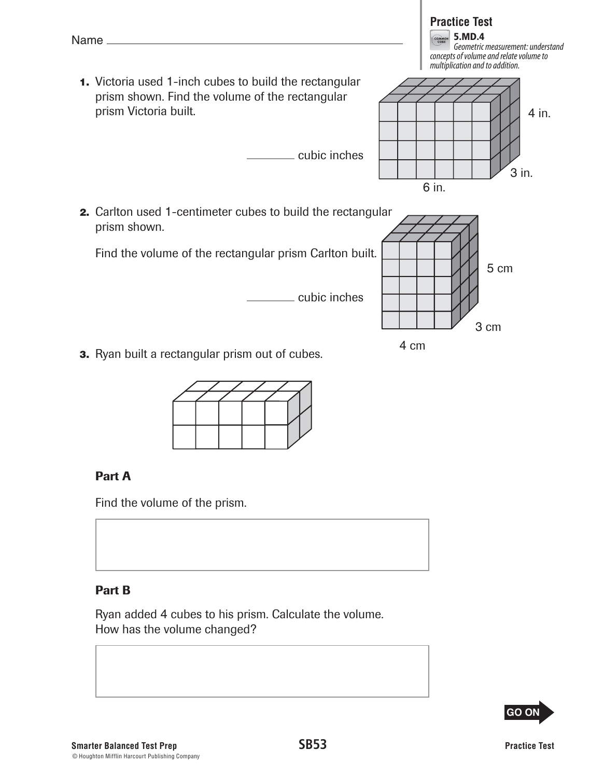

## Part B

Name\_

prism shown.

Ryan added 4 cubes to his prism. Calculate the volume. How has the volume changed?

**GO ON** 

- **Practice Test EQUALA** 5.MD.4 Geometric measurement: understand concepts of volume and relate volume to multiplication and to addition.  **1.** Victoria used 1-inch cubes to build the rectangular prism shown. Find the volume of the rectangular prism Victoria built. cubic inches  **2.** Carlton used 1-centimeter cubes to build the rectangular Find the volume of the rectangular prism Carlton built. 4 in. 3 in. 6 in. 5 cm
- 

Find the volume of the prism.



3 cm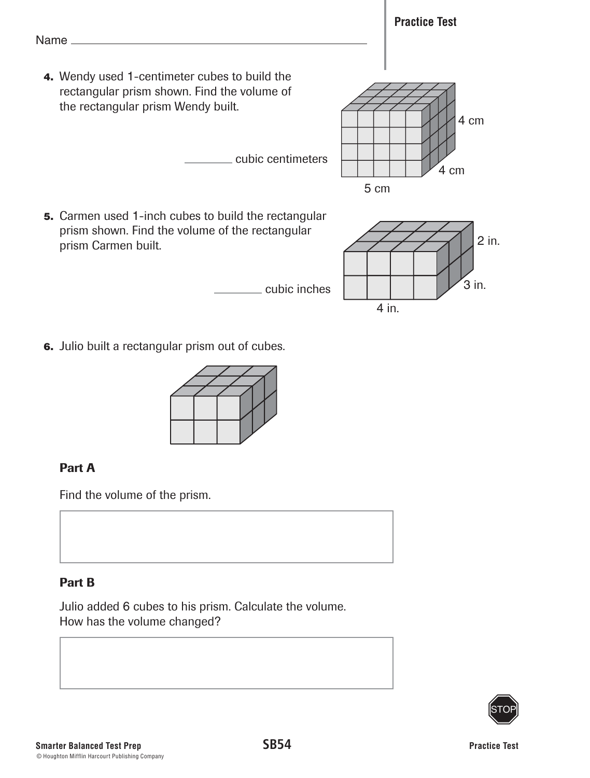

 **6.** Julio built a rectangular prism out of cubes.



# Part A

Find the volume of the prism.

# Part B

Julio added 6 cubes to his prism. Calculate the volume. How has the volume changed?

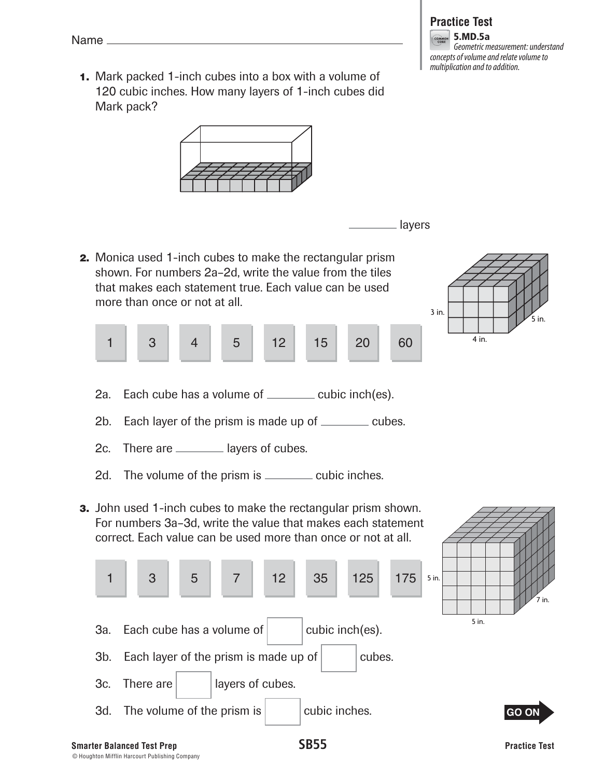**1.** Mark packed 1-inch cubes into a box with a volume of 120 cubic inches. How many layers of 1-inch cubes did Mark pack?



layers

 **2.** Monica used 1-inch cubes to make the rectangular prism shown. For numbers 2a–2d, write the value from the tiles that makes each statement true. Each value can be used more than once or not at all.



- 5 in. 3 in. 4 in.
- 2a. Each cube has a volume of <u>cubic inch(es)</u>.
- 2b. Each layer of the prism is made up of  $\equiv$  cubes.
- 2c. There are \_\_\_\_\_\_\_\_ layers of cubes.
- 2d. The volume of the prism is \_\_\_\_\_\_\_\_ cubic inches.
- **3.** John used 1-inch cubes to make the rectangular prism shown. For numbers 3a–3d, write the value that makes each statement correct. Each value can be used more than once or not at all.

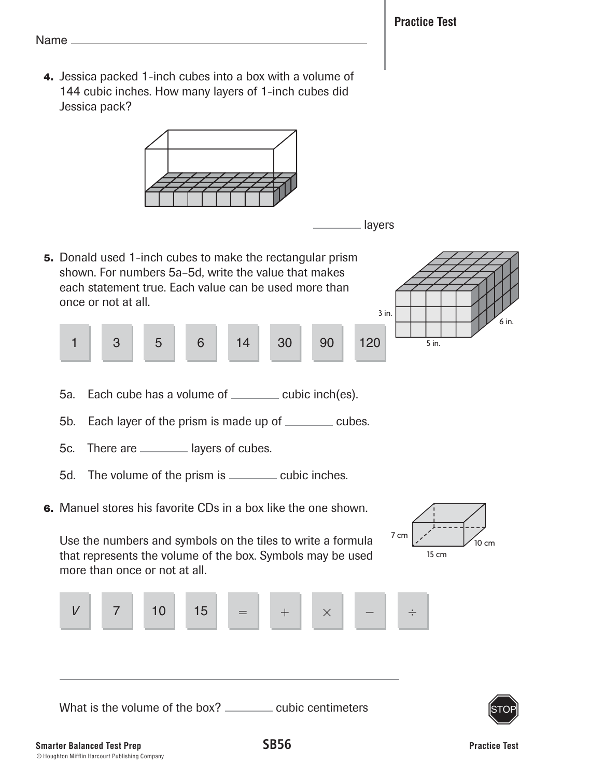**4.** Jessica packed 1-inch cubes into a box with a volume of 144 cubic inches. How many layers of 1-inch cubes did Jessica pack?





15 cm

7 cm

 **5.** Donald used 1-inch cubes to make the rectangular prism shown. For numbers 5a–5d, write the value that makes each statement true. Each value can be used more than once or not at all.



- 5a. Each cube has a volume of <u>cubic inch(es)</u>.
- 5b. Each layer of the prism is made up of \_\_\_\_\_\_\_ cubes.
- 5c. There are \_\_\_\_\_\_\_\_ layers of cubes.
- 5d. The volume of the prism is \_\_\_\_\_\_\_ cubic inches.
- **6.** Manuel stores his favorite CDs in a box like the one shown.

 Use the numbers and symbols on the tiles to write a formula that represents the volume of the box. Symbols may be used more than once or not at all.



What is the volume of the box? \_\_\_\_\_\_\_ cubic centimeters



10 cm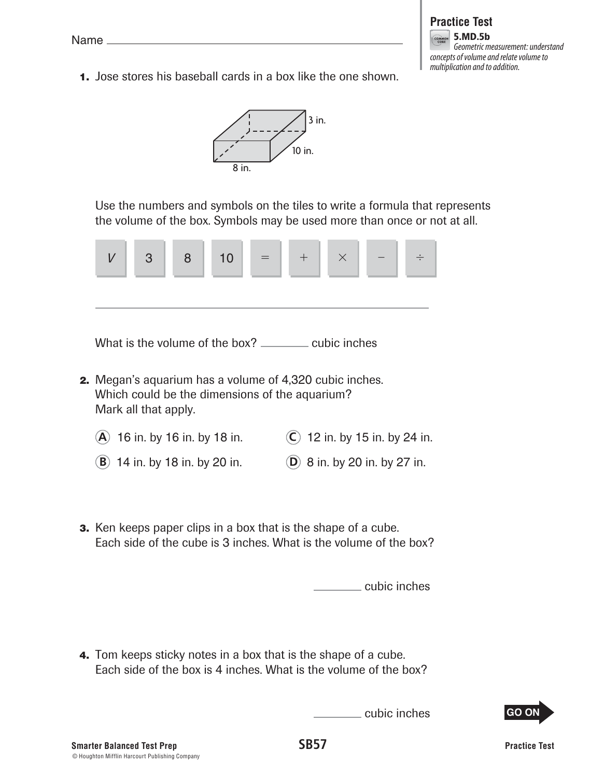

 **1.** Jose stores his baseball cards in a box like the one shown.



Use the numbers and symbols on the tiles to write a formula that represents the volume of the box. Symbols may be used more than once or not at all.



What is the volume of the box? \_\_\_\_\_\_\_\_ cubic inches

- **2.** Megan's aquarium has a volume of 4,320 cubic inches. Which could be the dimensions of the aquarium? Mark all that apply.
	- **A** 16 in. by 16 in. by 18 in. **C** 12 in. by 15 in. by 24 in.
	- **B** 14 in. by 18 in. by 20 in. **D** 8 in. by 20 in. by 27 in.
- **3.** Ken keeps paper clips in a box that is the shape of a cube. Each side of the cube is 3 inches. What is the volume of the box?

cubic inches

 **4.** Tom keeps sticky notes in a box that is the shape of a cube. Each side of the box is 4 inches. What is the volume of the box?

cubic inches

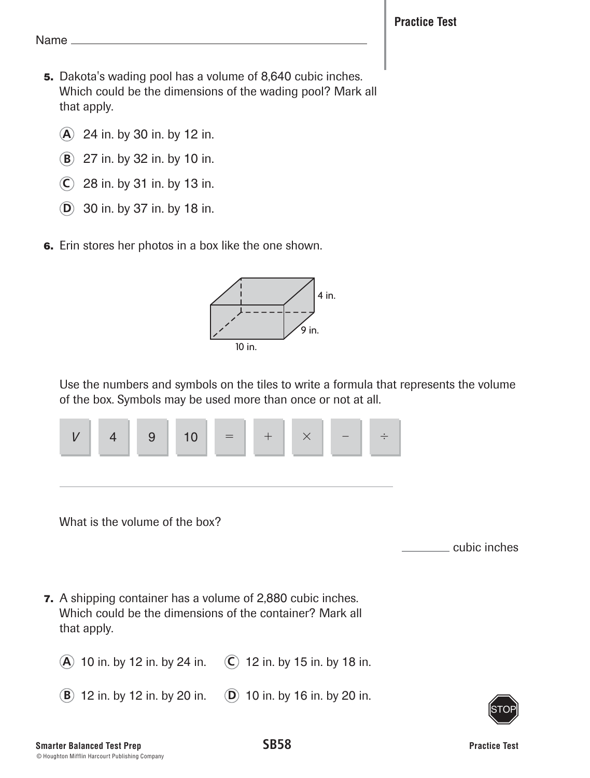- **5.** Dakota's wading pool has a volume of 8,640 cubic inches. Which could be the dimensions of the wading pool? Mark all that apply.
	- **A** 24 in. by 30 in. by 12 in.
	- **B** 27 in. by 32 in. by 10 in.
	- **C** 28 in. by 31 in. by 13 in.
	- **D** 30 in. by 37 in. by 18 in.
- **6.** Erin stores her photos in a box like the one shown.



Use the numbers and symbols on the tiles to write a formula that represents the volume of the box. Symbols may be used more than once or not at all.



What is the volume of the box?

cubic inches

- **7.** A shipping container has a volume of 2,880 cubic inches. Which could be the dimensions of the container? Mark all that apply.
	- **A** 10 in. by 12 in. by 24 in. **C** 12 in. by 15 in. by 18 in.
	- **B** 12 in. by 12 in. by 20 in. **D** 10 in. by 16 in. by 20 in.

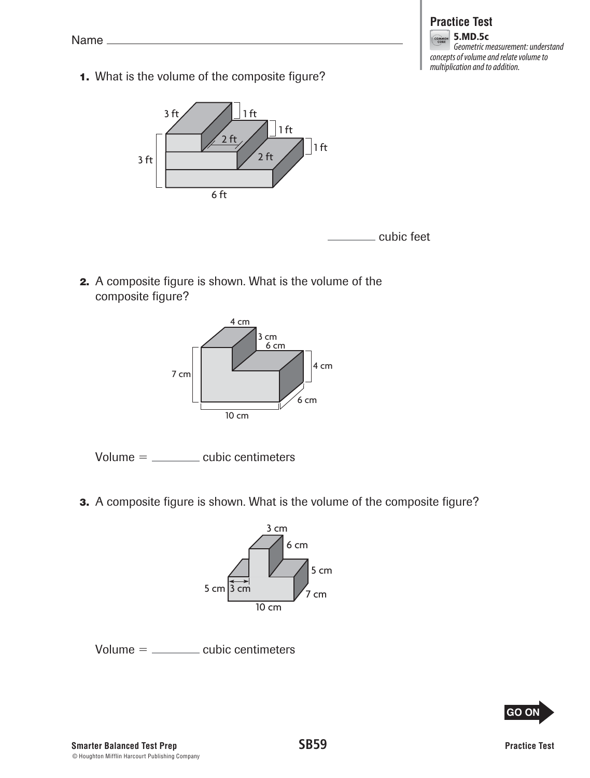**1.** What is the volume of the composite figure?



cubic feet

**Practice Test** 5.MD.5c

Geometric measurement: understand

concepts of volume and relate volume to multiplication and to addition.

 **2.** A composite figure is shown. What is the volume of the composite figure?





**3.** A composite figure is shown. What is the volume of the composite figure?



```
Volume = cubic centimeters
```
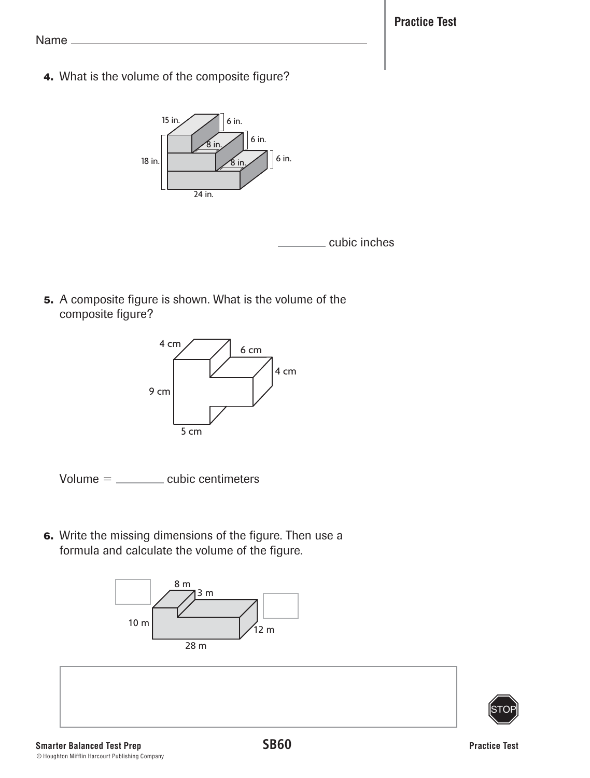**Practice Test**

Name

 **4.** What is the volume of the composite figure?





 **5.** A composite figure is shown. What is the volume of the composite figure?



 $Volume =$  cubic centimeters

 **6.** Write the missing dimensions of the figure. Then use a formula and calculate the volume of the figure.



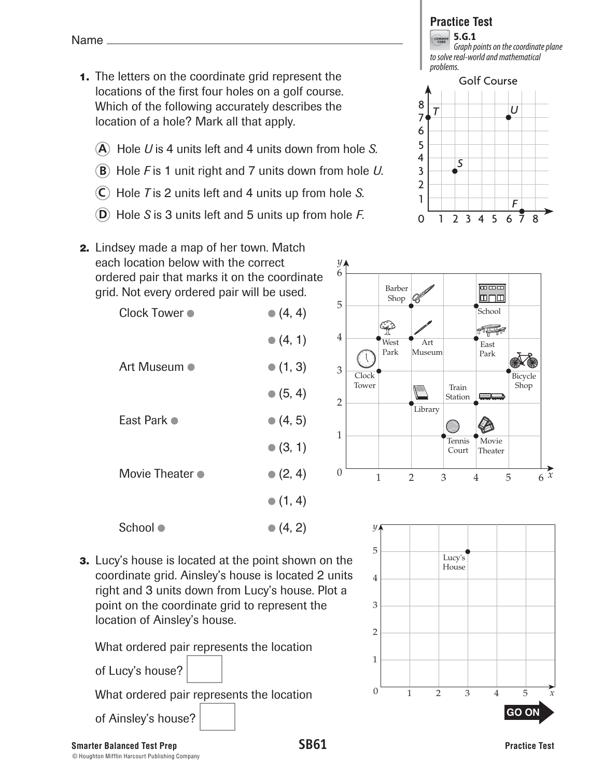- **1.** The letters on the coordinate grid represent the locations of the first four holes on a golf course. Which of the following accurately describes the location of a hole? Mark all that apply.
	- **A** Hole *U* is 4 units left and 4 units down from hole *S*.
	- **B** Hole *F* is 1 unit right and 7 units down from hole *U*.

 $\bullet$  (4, 1)

- **C** Hole *T* is 2 units left and 4 units up from hole *S*.
- **D** Hole *S* is 3 units left and 5 units up from hole *F*.

# **Practice Test**

**COMMON** 5.G.1 Graph points on the coordinate plane to solve real-world and mathematical problems.





 **2.** Lindsey made a map of her town. Match each location below with the correct ordered pair that marks it on the coordinate grid. Not every ordered pair will be used. Clock Tower  $\bullet$  (4, 4)

|                         | - 1 - 1          |
|-------------------------|------------------|
|                         | $\bullet$ (5, 4) |
| East Park •             | $\bullet$ (4, 5) |
|                         | $\bullet$ (3, 1) |
| Movie Theater $\bullet$ | $\bullet$ (2, 4) |
|                         | $\bullet$ (1, 4) |
| School ●                | $\bullet$ (4, 2) |

Art Museum  $\bullet$  (1, 3)

 **3.** Lucy's house is located at the point shown on the coordinate grid. Ainsley's house is located 2 units right and 3 units down from Lucy's house. Plot a point on the coordinate grid to represent the location of Ainsley's house.

What ordered pair represents the location

of Lucy's house?

What ordered pair represents the location

of Ainsley's house?

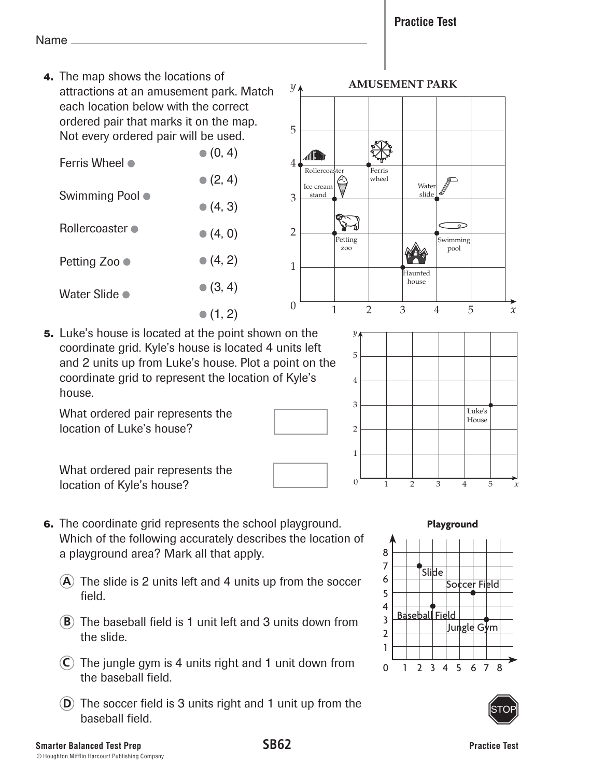**Practice Test**

Name

 **4.** The map shows the locations of attractions at an amusement park. Match each location below with the correct ordered pair that marks it on the map. Not every ordered pair will be used.

| Ferris Wheel ●         | $\bullet$ (0, 4) |
|------------------------|------------------|
|                        | $\bullet$ (2, 4) |
| Swimming Pool ●        | $\bullet$ (4, 3) |
| <b>Rollercoaster ●</b> | • (4, 0)         |
| Petting Zoo ●          | • (4, 2)         |
| Water Slide ●          | $\bullet$ (3, 4) |
|                        | $\bullet$ (1, 2) |



1

2

3

4

5

*y*

 **5.** Luke's house is located at the point shown on the coordinate grid. Kyle's house is located 4 units left and 2 units up from Luke's house. Plot a point on the coordinate grid to represent the location of Kyle's house.

What ordered pair represents the location of Luke's house?

What ordered pair represents the location of Kyle's house?

- **6.** The coordinate grid represents the school playground. Which of the following accurately describes the location of a playground area? Mark all that apply.
	- **A** The slide is 2 units left and 4 units up from the soccer field.
	- **B** The baseball field is 1 unit left and 3 units down from the slide.
	- **C** The jungle gym is 4 units right and 1 unit down from the baseball field.
	- **D** The soccer field is 3 units right and 1 unit up from the baseball field.



0 1 2 345 *x*

Luke's House

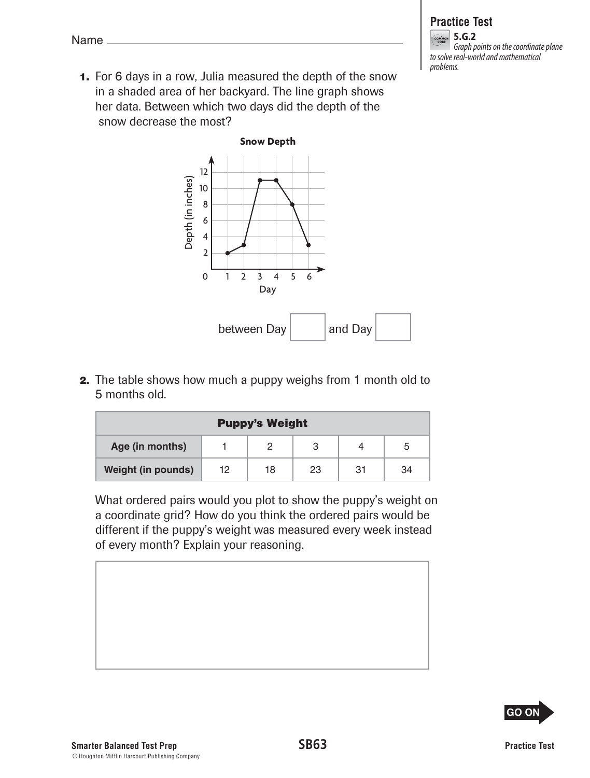**1.** For 6 days in a row, Julia measured the depth of the snow in a shaded area of her backyard. The line graph shows her data. Between which two days did the depth of the snow decrease the most?



 **2.** The table shows how much a puppy weighs from 1 month old to 5 months old.

| <b>Puppy's Weight</b>     |    |    |    |    |    |
|---------------------------|----|----|----|----|----|
| Age (in months)           |    |    |    |    |    |
| <b>Weight (in pounds)</b> | 12 | 18 | 23 | 31 | 34 |

What ordered pairs would you plot to show the puppy's weight on a coordinate grid? How do you think the ordered pairs would be different if the puppy's weight was measured every week instead of every month? Explain your reasoning.









5.G.2 Graph points on the coordinate plane to solve real-world and mathematical problems.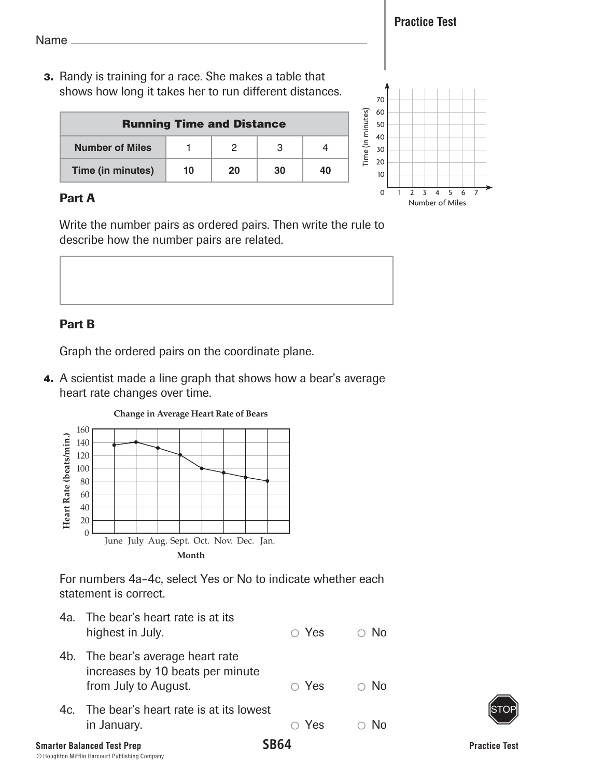**Practice Test**

Name

 **3.** Randy is training for a race. She makes a table that shows how long it takes her to run different distances.

| <b>Running Time and Distance</b> |    |    |    |    |
|----------------------------------|----|----|----|----|
| <b>Number of Miles</b>           |    |    |    |    |
| Time (in minutes)                | 10 | 20 | 30 | 40 |



# Part A

Write the number pairs as ordered pairs. Then write the rule to describe how the number pairs are related.



# Part B

Graph the ordered pairs on the coordinate plane.

 **4.** A scientist made a line graph that shows how a bear's average heart rate changes over time.



For numbers 4a–4c, select Yes or No to indicate whether each statement is correct.

| .                                                                                             | CDC <i>a</i> |            |
|-----------------------------------------------------------------------------------------------|--------------|------------|
| 4c. The bear's heart rate is at its lowest<br>in January.                                     | $\circ$ Yes  | N∩         |
| 4b. The bear's average heart rate<br>increases by 10 beats per minute<br>from July to August. | $\circ$ Yes  | $\circ$ No |
| 4a. The bear's heart rate is at its<br>highest in July.                                       | $\circ$ Yes  | N∩         |
|                                                                                               |              |            |

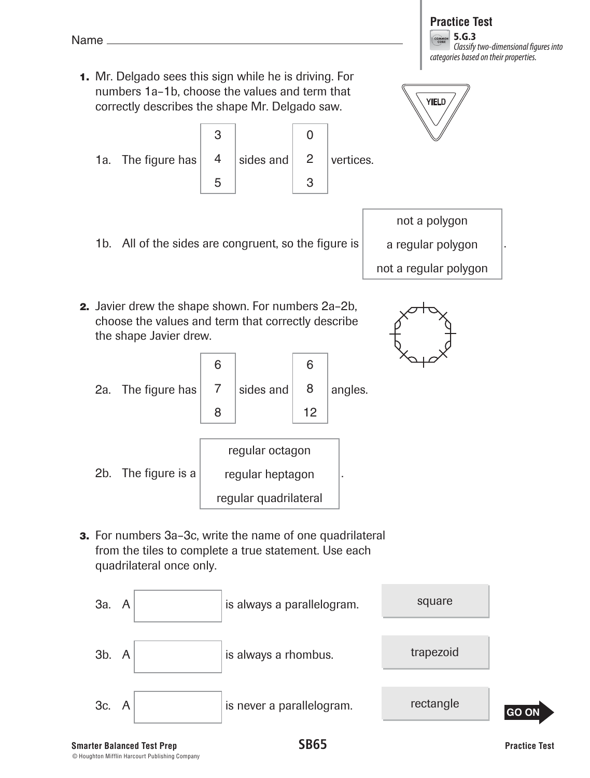# **Practice Test**

COMMON 5.G.3 Classify two-dimensional figures into categories based on their properties.

.

 **1.** Mr. Delgado sees this sign while he is driving. For numbers 1a–1b, choose the values and term that correctly describes the shape Mr. Delgado saw.





- 1b. All of the sides are congruent, so the figure is not a polygon a regular polygon not a regular polygon
- **2.** Javier drew the shape shown. For numbers 2a–2b, choose the values and term that correctly describe the shape Javier drew.
	- 2a. The figure has 6 7 8 sides and 6 8 12 angles. 2b. The figure is a regular octagon regular heptagon regular quadrilateral .
- **3.** For numbers 3a–3c, write the name of one quadrilateral from the tiles to complete a true statement. Use each quadrilateral once only.



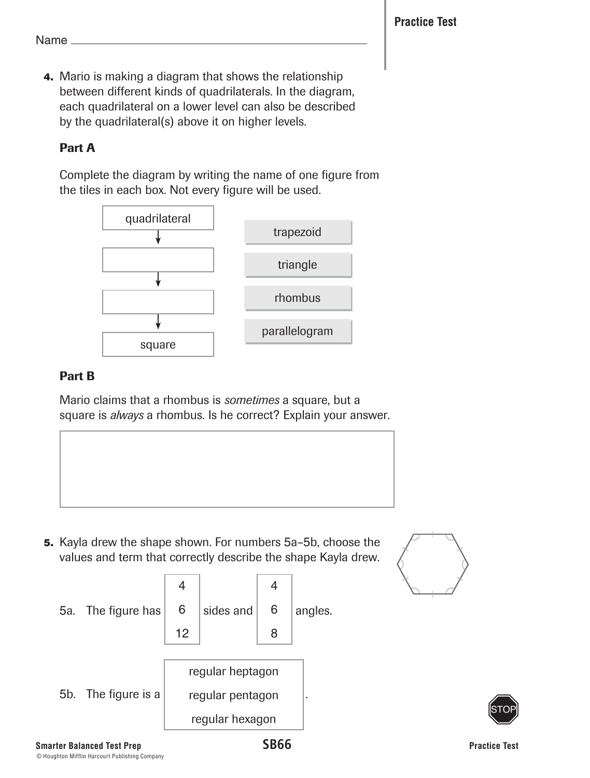**4.** Mario is making a diagram that shows the relationship between different kinds of quadrilaterals. In the diagram, each quadrilateral on a lower level can also be described by the quadrilateral(s) above it on higher levels.

# Part A

Complete the diagram by writing the name of one figure from the tiles in each box. Not every figure will be used.



## Part B

Mario claims that a rhombus is *sometimes* a square, but a square is *always* a rhombus. Is he correct? Explain your answer.

 **5.** Kayla drew the shape shown. For numbers 5a–5b, choose the values and term that correctly describe the shape Kayla drew.





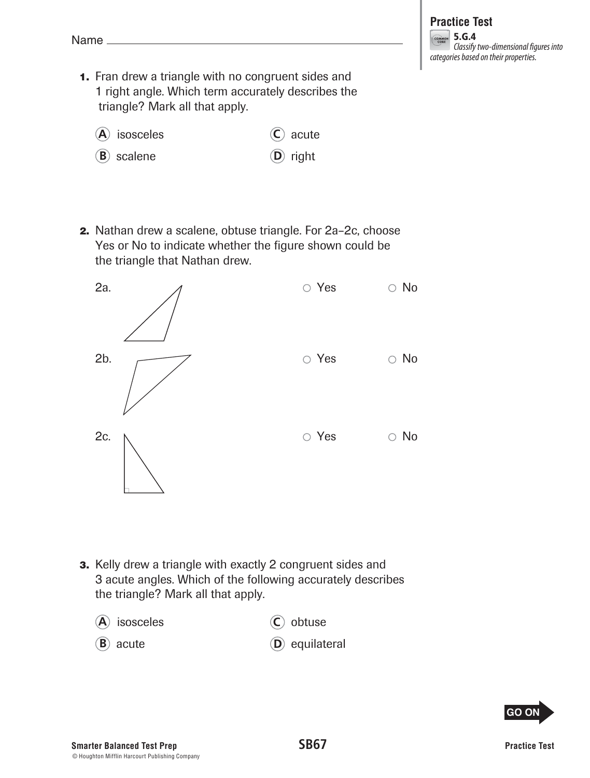#### **Practice Test COMMON** 5.G.4 Classify two-dimensional figures into categories based on their properties.

- **1.** Fran drew a triangle with no congruent sides and 1 right angle. Which term accurately describes the triangle? Mark all that apply.
	- **A** isosceles **C** acute
	- **B** scalene **D** right
- **2.** Nathan drew a scalene, obtuse triangle. For 2a–2c, choose Yes or No to indicate whether the figure shown could be the triangle that Nathan drew.



- **3.** Kelly drew a triangle with exactly 2 congruent sides and 3 acute angles. Which of the following accurately describes the triangle? Mark all that apply.
	- **A** isosceles **C** obtuse
	- **B** acute **D** equilateral